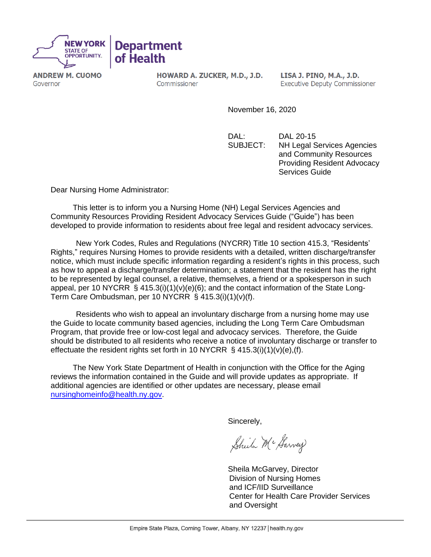

**ANDREW M. CUOMO** Governor

HOWARD A. ZUCKER, M.D., J.D. Commissioner

**LISA J. PINO, M.A., J.D. Executive Deputy Commissioner** 

November 16, 2020

DAL: DAL 20-15 SUBJECT: NH Legal Services Agencies and Community Resources Providing Resident Advocacy Services Guide

Dear Nursing Home Administrator:

This letter is to inform you a Nursing Home (NH) Legal Services Agencies and Community Resources Providing Resident Advocacy Services Guide ("Guide") has been developed to provide information to residents about free legal and resident advocacy services.

New York Codes, Rules and Regulations (NYCRR) Title 10 section 415.3, "Residents' Rights," requires Nursing Homes to provide residents with a detailed, written discharge/transfer notice, which must include specific information regarding a resident's rights in this process, such as how to appeal a discharge/transfer determination; a statement that the resident has the right to be represented by legal counsel, a relative, themselves, a friend or a spokesperson in such appeal, per 10 NYCRR  $\S$  415.3(i)(1)(v)(e)(6); and the contact information of the State Long-Term Care Ombudsman, per 10 NYCRR § 415.3(i)(1)(v)(f).

Residents who wish to appeal an involuntary discharge from a nursing home may use the Guide to locate community based agencies, including the Long Term Care Ombudsman Program, that provide free or low-cost legal and advocacy services. Therefore, the Guide should be distributed to all residents who receive a notice of involuntary discharge or transfer to effectuate the resident rights set forth in 10 NYCRR § 415.3(i)(1)(v)(e),(f).

The New York State Department of Health in conjunction with the Office for the Aging reviews the information contained in the Guide and will provide updates as appropriate. If additional agencies are identified or other updates are necessary, please email [nursinghomeinfo@health.ny.gov.](mailto:nursinghomeinfo@health.ny.gov)

Sincerely,

Sheila Mc Harvey

Sheila McGarvey, Director Division of Nursing Homes and ICF/IID Surveillance Center for Health Care Provider Services and Oversight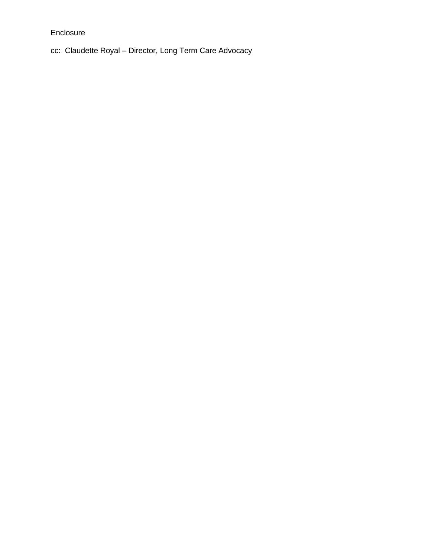Enclosure

cc: Claudette Royal – Director, Long Term Care Advocacy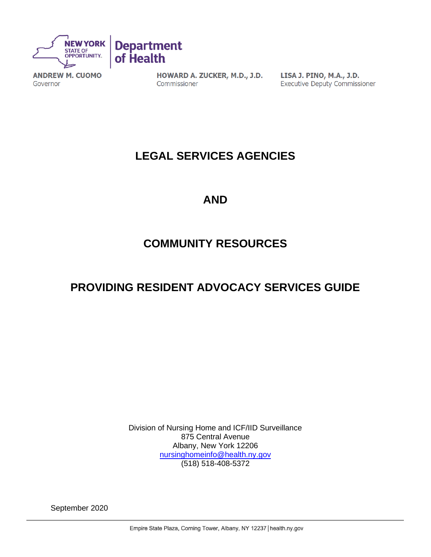

**ANDREW M. CUOMO** Governor

HOWARD A. ZUCKER, M.D., J.D. Commissioner

LISA J. PINO, M.A., J.D. **Executive Deputy Commissioner** 

## **LEGAL SERVICES AGENCIES**

## **AND**

## **COMMUNITY RESOURCES**

## **PROVIDING RESIDENT ADVOCACY SERVICES GUIDE**

Division of Nursing Home and ICF/IID Surveillance 875 Central Avenue Albany, New York 12206 [nursinghomeinfo@health.ny.gov](mailto:nursinghomeinfo@health.ny.gov) (518) 518-408-5372

September 2020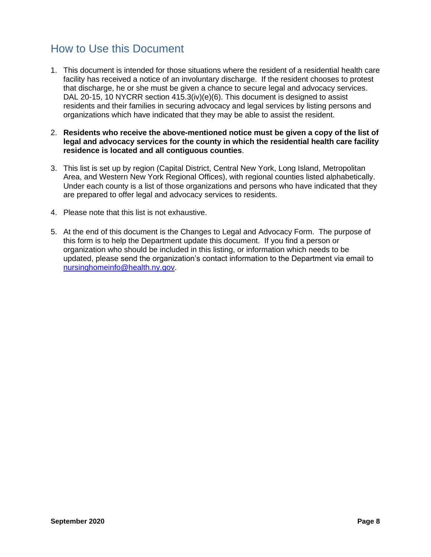## <span id="page-9-0"></span>How to Use this Document

- 1. This document is intended for those situations where the resident of a residential health care facility has received a notice of an involuntary discharge. If the resident chooses to protest that discharge, he or she must be given a chance to secure legal and advocacy services. DAL 20-15, 10 NYCRR section  $415.3(iv)(e)(6)$ . This document is designed to assist residents and their families in securing advocacy and legal services by listing persons and organizations which have indicated that they may be able to assist the resident.
- 2. **Residents who receive the above-mentioned notice must be given a copy of the list of legal and advocacy services for the county in which the residential health care facility residence is located and all contiguous counties**.
- 3. This list is set up by region (Capital District, Central New York, Long Island, Metropolitan Area, and Western New York Regional Offices), with regional counties listed alphabetically. Under each county is a list of those organizations and persons who have indicated that they are prepared to offer legal and advocacy services to residents.
- 4. Please note that this list is not exhaustive.
- 5. At the end of this document is the Changes to Legal and Advocacy Form. The purpose of this form is to help the Department update this document. If you find a person or organization who should be included in this listing, or information which needs to be updated, please send the organization's contact information to the Department via email to [nursinghomeinfo@health.ny.gov.](mailto:nursinghomeinfo@health.ny.gov)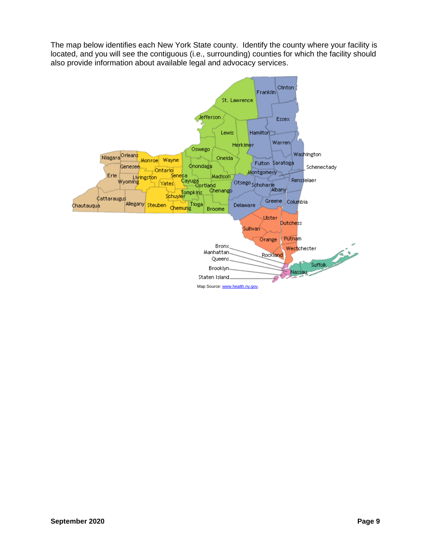The map below identifies each New York State county. Identify the county where your facility is located, and you will see the contiguous (i.e., surrounding) counties for which the facility should also provide information about available legal and advocacy services.

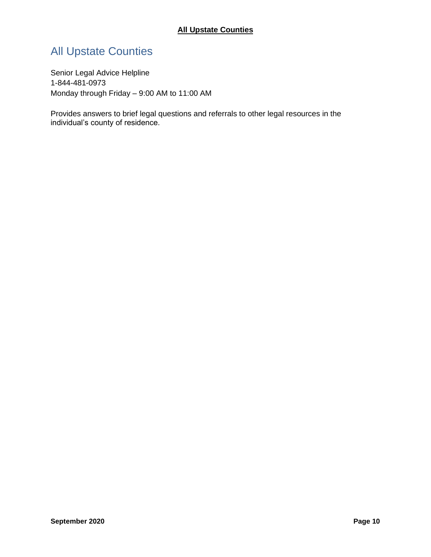## <span id="page-11-0"></span>All Upstate Counties

Senior Legal Advice Helpline 1-844-481-0973 Monday through Friday – 9:00 AM to 11:00 AM

Provides answers to brief legal questions and referrals to other legal resources in the individual's county of residence.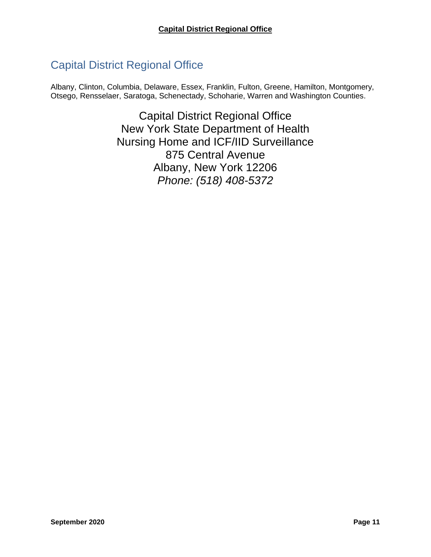## <span id="page-12-0"></span>Capital District Regional Office

Albany, Clinton, Columbia, Delaware, Essex, Franklin, Fulton, Greene, Hamilton, Montgomery, Otsego, Rensselaer, Saratoga, Schenectady, Schoharie, Warren and Washington Counties.

> Capital District Regional Office New York State Department of Health Nursing Home and ICF/IID Surveillance 875 Central Avenue Albany, New York 12206 *Phone: (518) 408-5372*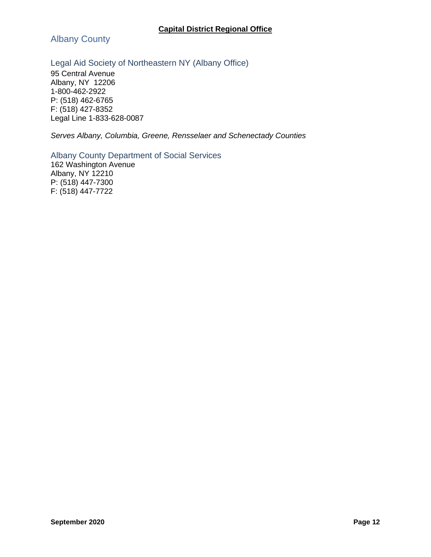<span id="page-13-0"></span>Albany County

## <span id="page-13-1"></span>Legal Aid Society of Northeastern NY (Albany Office)

95 Central Avenue Albany, NY 12206 1-800-462-2922 P: (518) 462-6765 F: (518) 427-8352 Legal Line 1-833-628-0087

*Serves Albany, Columbia, Greene, Rensselaer and Schenectady Counties*

<span id="page-13-2"></span>Albany County Department of Social Services 162 Washington Avenue Albany, NY 12210

P: (518) 447-7300 F: (518) 447-7722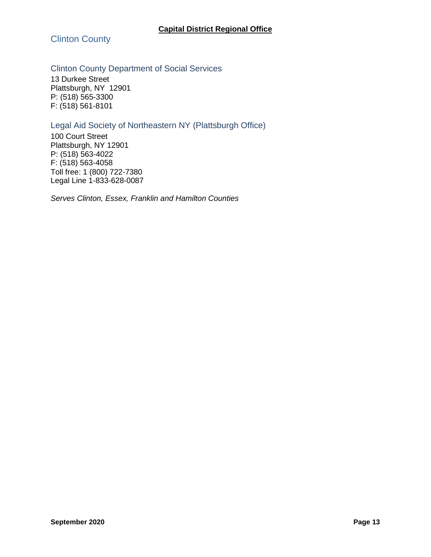<span id="page-14-0"></span>Clinton County

## <span id="page-14-1"></span>Clinton County Department of Social Services

13 Durkee Street Plattsburgh, NY 12901 P: (518) 565-3300 F: (518) 561-8101

## <span id="page-14-2"></span>Legal Aid Society of Northeastern NY (Plattsburgh Office)

100 Court Street Plattsburgh, NY 12901 P: (518) 563-4022 F: (518) 563-4058 Toll free: 1 (800) 722-7380 Legal Line 1-833-628-0087

*Serves Clinton, Essex, Franklin and Hamilton Counties*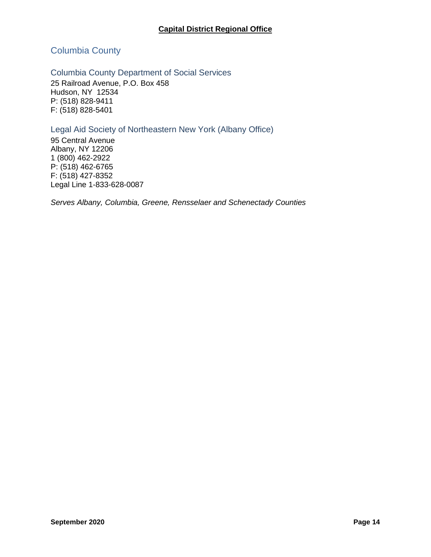## <span id="page-15-0"></span>Columbia County

#### <span id="page-15-1"></span>Columbia County Department of Social Services

25 Railroad Avenue, P.O. Box 458 Hudson, NY 12534 P: (518) 828-9411 F: (518) 828-5401

## <span id="page-15-2"></span>Legal Aid Society of Northeastern New York (Albany Office)

95 Central Avenue Albany, NY 12206 1 (800) 462-2922 P: (518) 462-6765 F: (518) 427-8352 Legal Line 1-833-628-0087

*Serves Albany, Columbia, Greene, Rensselaer and Schenectady Counties*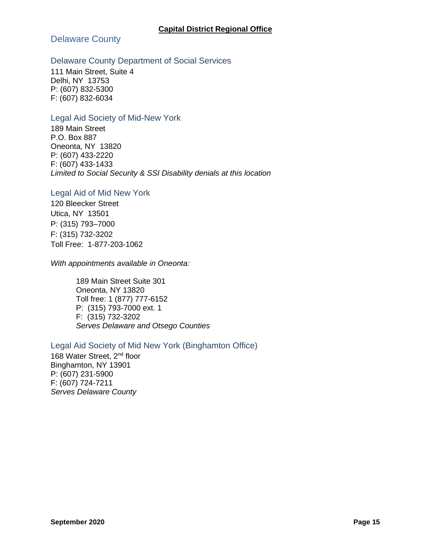<span id="page-16-0"></span>Delaware County

#### <span id="page-16-1"></span>Delaware County Department of Social Services

111 Main Street, Suite 4 Delhi, NY 13753 P: (607) 832-5300 F: (607) 832-6034

#### <span id="page-16-2"></span>Legal Aid Society of Mid-New York

189 Main Street P.O. Box 887 Oneonta, NY 13820 P: (607) 433-2220 F: (607) 433-1433 *Limited to Social Security & SSI Disability denials at this location*

#### <span id="page-16-3"></span>Legal Aid of Mid New York

120 Bleecker Street Utica, NY 13501 P: (315) 793–7000 F: (315) 732-3202 Toll Free: 1-877-203-1062

*With appointments available in Oneonta:*

189 Main Street Suite 301 Oneonta, NY 13820 Toll free: 1 (877) 777-6152 P: (315) 793-7000 ext. 1 F: (315) 732-3202 *Serves Delaware and Otsego Counties*

<span id="page-16-4"></span>Legal Aid Society of Mid New York (Binghamton Office) 168 Water Street, 2<sup>nd</sup> floor Binghamton, NY 13901 P: (607) 231-5900 F: (607) 724-7211 *Serves Delaware County*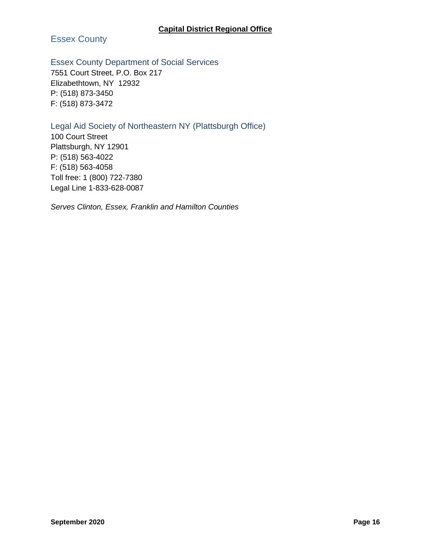<span id="page-17-0"></span>Essex County

<span id="page-17-1"></span>Essex County Department of Social Services

7551 Court Street, P.O. Box 217 Elizabethtown, NY 12932 P: (518) 873-3450 F: (518) 873-3472

## <span id="page-17-2"></span>Legal Aid Society of Northeastern NY (Plattsburgh Office)

100 Court Street Plattsburgh, NY 12901 P: (518) 563-4022 F: (518) 563-4058 Toll free: 1 (800) 722-7380 Legal Line 1-833-628-0087

*Serves Clinton, Essex, Franklin and Hamilton Counties*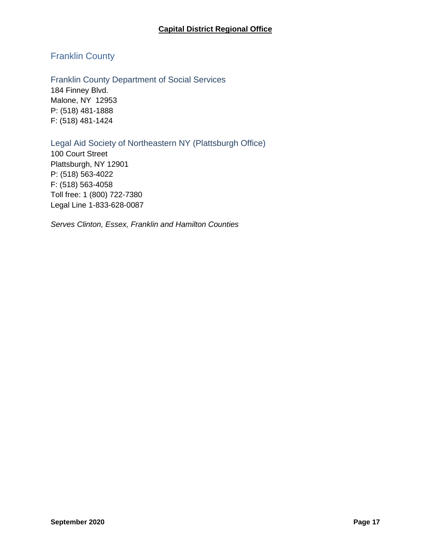## <span id="page-18-0"></span>Franklin County

<span id="page-18-1"></span>Franklin County Department of Social Services 184 Finney Blvd. Malone, NY 12953 P: (518) 481-1888 F: (518) 481-1424

## <span id="page-18-2"></span>Legal Aid Society of Northeastern NY (Plattsburgh Office)

100 Court Street Plattsburgh, NY 12901 P: (518) 563-4022 F: (518) 563-4058 Toll free: 1 (800) 722-7380 Legal Line 1-833-628-0087

*Serves Clinton, Essex, Franklin and Hamilton Counties*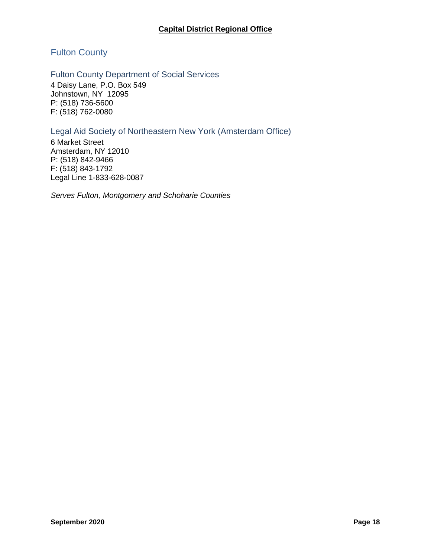## <span id="page-19-0"></span>Fulton County

#### <span id="page-19-1"></span>Fulton County Department of Social Services

4 Daisy Lane, P.O. Box 549 Johnstown, NY 12095 P: (518) 736-5600 F: (518) 762-0080

### <span id="page-19-2"></span>Legal Aid Society of Northeastern New York (Amsterdam Office)

6 Market Street Amsterdam, NY 12010 P: (518) 842-9466 F: (518) 843-1792 Legal Line 1-833-628-0087

*Serves Fulton, Montgomery and Schoharie Counties*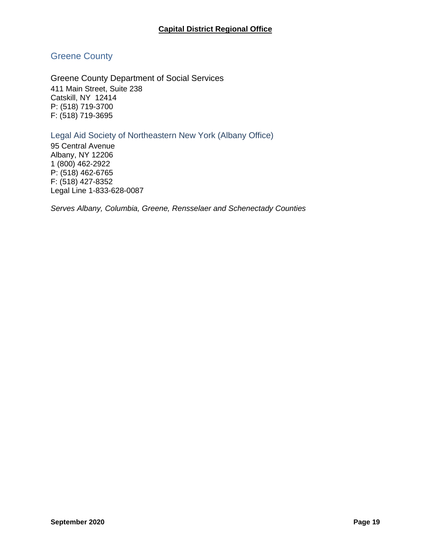## <span id="page-20-0"></span>Greene County

<span id="page-20-1"></span>Greene County Department of Social Services 411 Main Street, Suite 238 Catskill, NY 12414 P: (518) 719-3700 F: (518) 719-3695

## <span id="page-20-2"></span>Legal Aid Society of Northeastern New York (Albany Office)

95 Central Avenue Albany, NY 12206 1 (800) 462-2922 P: (518) 462-6765 F: (518) 427-8352 Legal Line 1-833-628-0087

*Serves Albany, Columbia, Greene, Rensselaer and Schenectady Counties*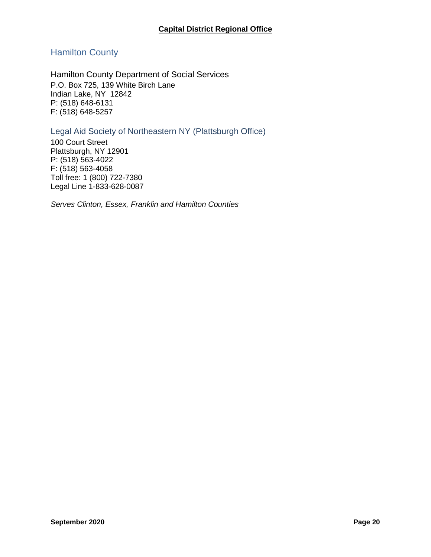## <span id="page-21-0"></span>Hamilton County

<span id="page-21-1"></span>Hamilton County Department of Social Services P.O. Box 725, 139 White Birch Lane Indian Lake, NY 12842 P: (518) 648-6131 F: (518) 648-5257

### <span id="page-21-2"></span>Legal Aid Society of Northeastern NY (Plattsburgh Office)

100 Court Street Plattsburgh, NY 12901 P: (518) 563-4022 F: (518) 563-4058 Toll free: 1 (800) 722-7380 Legal Line 1-833-628-0087

*Serves Clinton, Essex, Franklin and Hamilton Counties*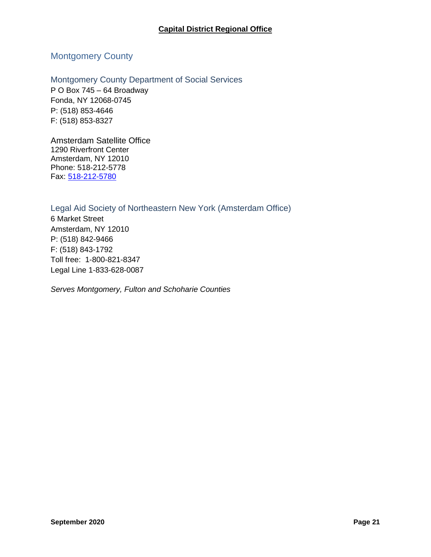## <span id="page-22-0"></span>Montgomery County

<span id="page-22-1"></span>Montgomery County Department of Social Services P O Box 745 – 64 Broadway Fonda, NY 12068-0745 P: (518) 853-4646 F: (518) 853-8327

Amsterdam Satellite Office 1290 Riverfront Center Amsterdam, NY 12010 Phone: 518-212-5778 Fax: [518-212-5780](fax:1-518-212-5780)

<span id="page-22-2"></span>Legal Aid Society of Northeastern New York (Amsterdam Office) 6 Market Street Amsterdam, NY 12010 P: (518) 842-9466 F: (518) 843-1792 Toll free: 1-800-821-8347 Legal Line 1-833-628-0087

*Serves Montgomery, Fulton and Schoharie Counties*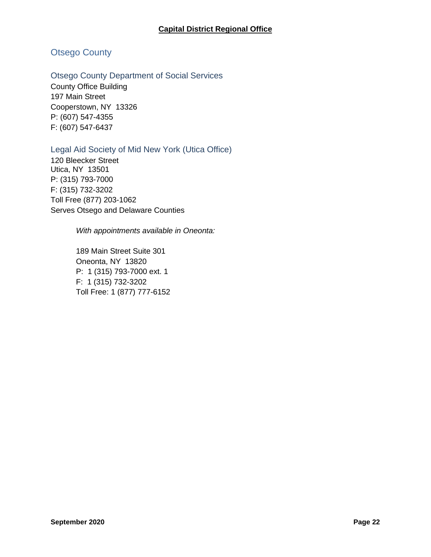## <span id="page-23-0"></span>Otsego County

#### <span id="page-23-1"></span>Otsego County Department of Social Services

County Office Building 197 Main Street Cooperstown, NY 13326 P: (607) 547-4355 F: (607) 547-6437

### <span id="page-23-2"></span>Legal Aid Society of Mid New York (Utica Office)

120 Bleecker Street Utica, NY 13501 P: (315) 793-7000 F: (315) 732-3202 Toll Free (877) 203-1062 Serves Otsego and Delaware Counties

*With appointments available in Oneonta:*

189 Main Street Suite 301 Oneonta, NY 13820 P: 1 (315) 793-7000 ext. 1 F: 1 (315) 732-3202 Toll Free: 1 (877) 777-6152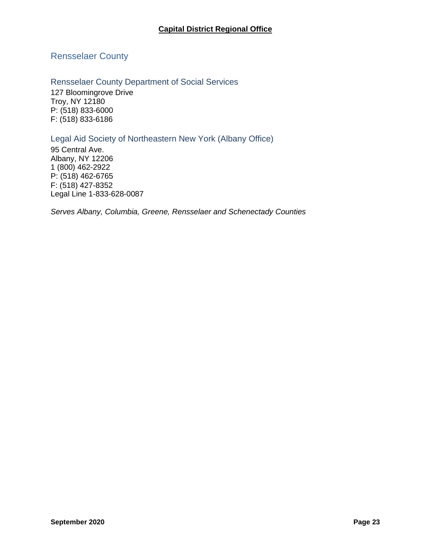<span id="page-24-0"></span>Rensselaer County

<span id="page-24-1"></span>Rensselaer County Department of Social Services 127 Bloomingrove Drive Troy, NY 12180 P: (518) 833-6000 F: (518) 833-6186

<span id="page-24-2"></span>Legal Aid Society of Northeastern New York (Albany Office)

95 Central Ave. Albany, NY 12206 1 (800) 462-2922 P: (518) 462-6765 F: (518) 427-8352 Legal Line 1-833-628-0087

*Serves Albany, Columbia, Greene, Rensselaer and Schenectady Counties*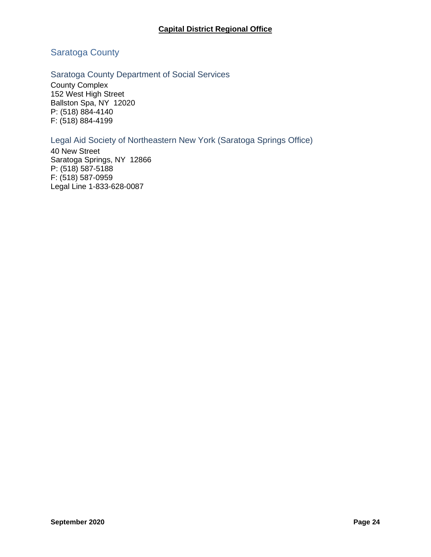## <span id="page-25-0"></span>Saratoga County

### <span id="page-25-1"></span>Saratoga County Department of Social Services

County Complex 152 West High Street Ballston Spa, NY 12020 P: (518) 884-4140 F: (518) 884-4199

## <span id="page-25-2"></span>Legal Aid Society of Northeastern New York (Saratoga Springs Office)

40 New Street Saratoga Springs, NY 12866 P: (518) 587-5188 F: (518) 587-0959 Legal Line 1-833-628-0087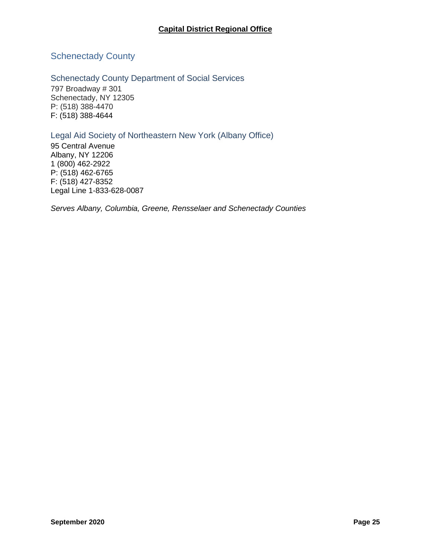## <span id="page-26-0"></span>Schenectady County

## <span id="page-26-1"></span>Schenectady County Department of Social Services

797 Broadway # 301 Schenectady, NY 12305 P: (518) 388-4470 F: (518) 388-4644

## <span id="page-26-2"></span>Legal Aid Society of Northeastern New York (Albany Office)

95 Central Avenue Albany, NY 12206 1 (800) 462-2922 P: (518) 462-6765 F: (518) 427-8352 Legal Line 1-833-628-0087

*Serves Albany, Columbia, Greene, Rensselaer and Schenectady Counties*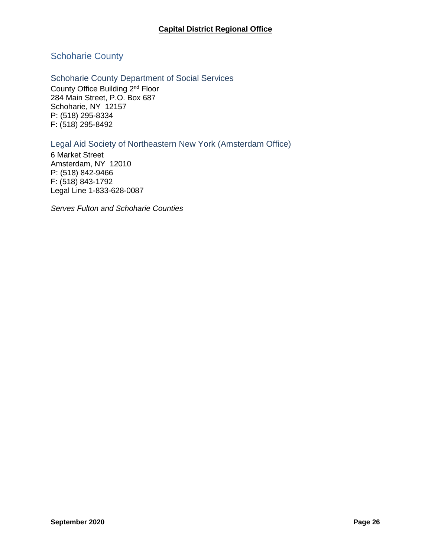## <span id="page-27-0"></span>Schoharie County

## <span id="page-27-1"></span>Schoharie County Department of Social Services

County Office Building 2nd Floor 284 Main Street, P.O. Box 687 Schoharie, NY 12157 P: (518) 295-8334 F: (518) 295-8492

## <span id="page-27-2"></span>Legal Aid Society of Northeastern New York (Amsterdam Office)

6 Market Street Amsterdam, NY 12010 P: (518) 842-9466 F: (518) 843-1792 Legal Line 1-833-628-0087

*Serves Fulton and Schoharie Counties*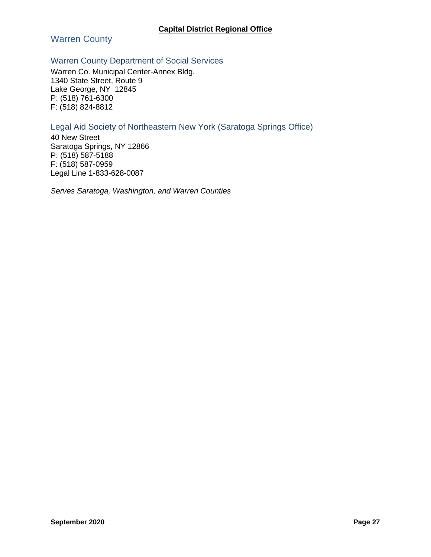<span id="page-28-0"></span>Warren County

## <span id="page-28-1"></span>Warren County Department of Social Services

Warren Co. Municipal Center-Annex Bldg. 1340 State Street, Route 9 Lake George, NY 12845 P: (518) 761-6300 F: (518) 824-8812

### <span id="page-28-2"></span>Legal Aid Society of Northeastern New York (Saratoga Springs Office)

40 New Street Saratoga Springs, NY 12866 P: (518) 587-5188 F: (518) 587-0959 Legal Line 1-833-628-0087

*Serves Saratoga, Washington, and Warren Counties*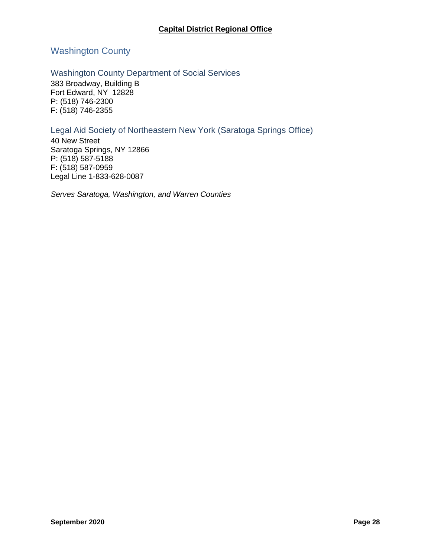## <span id="page-29-0"></span>Washington County

#### <span id="page-29-1"></span>Washington County Department of Social Services

383 Broadway, Building B Fort Edward, NY 12828 P: (518) 746-2300 F: (518) 746-2355

### <span id="page-29-2"></span>Legal Aid Society of Northeastern New York (Saratoga Springs Office)

40 New Street Saratoga Springs, NY 12866 P: (518) 587-5188 F: (518) 587-0959 Legal Line 1-833-628-0087

*Serves Saratoga, Washington, and Warren Counties*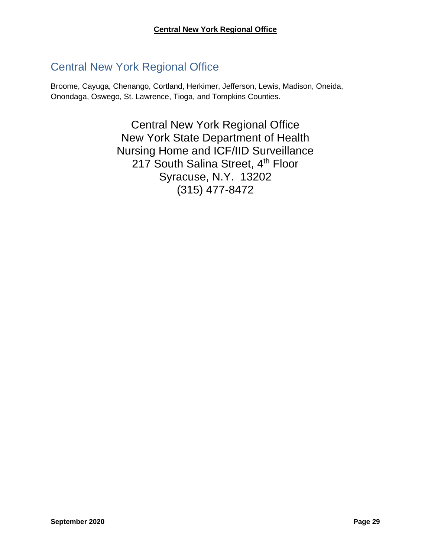## <span id="page-30-0"></span>Central New York Regional Office

Broome, Cayuga, Chenango, Cortland, Herkimer, Jefferson, Lewis, Madison, Oneida, Onondaga, Oswego, St. Lawrence, Tioga, and Tompkins Counties.

> Central New York Regional Office New York State Department of Health Nursing Home and ICF/IID Surveillance 217 South Salina Street, 4<sup>th</sup> Floor Syracuse, N.Y. 13202 (315) 477-8472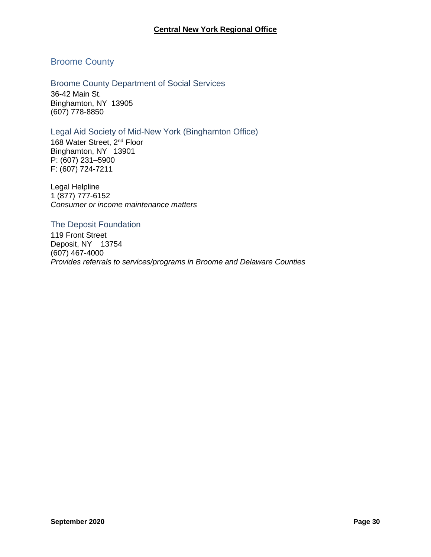#### **Central New York Regional Office**

#### <span id="page-31-0"></span>Broome County

<span id="page-31-1"></span>Broome County Department of Social Services 36-42 Main St. Binghamton, NY 13905 (607) 778-8850

#### <span id="page-31-2"></span>Legal Aid Society of Mid-New York (Binghamton Office)

168 Water Street, 2<sup>nd</sup> Floor Binghamton, NY 13901 P: (607) 231–5900 F: (607) 724-7211

Legal Helpline 1 (877) 777-6152 *Consumer or income maintenance matters* 

#### <span id="page-31-3"></span>The Deposit Foundation

119 Front Street Deposit, NY 13754 (607) 467-4000 *Provides referrals to services/programs in Broome and Delaware Counties*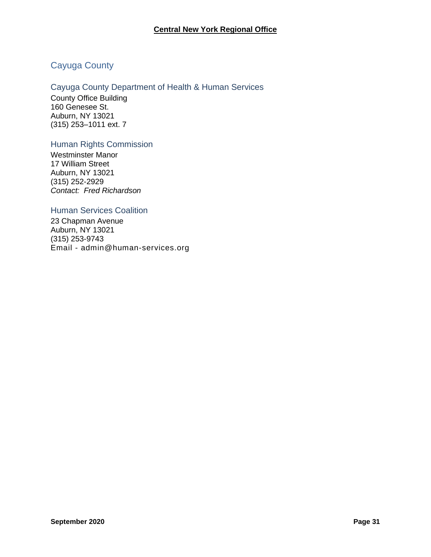## <span id="page-32-0"></span>Cayuga County

### <span id="page-32-1"></span>Cayuga County Department of Health & Human Services

County Office Building 160 Genesee St. Auburn, NY 13021 (315) 253–1011 ext. 7

#### <span id="page-32-2"></span>Human Rights Commission

Westminster Manor 17 William Street Auburn, NY 13021 (315) 252-2929 *Contact: Fred Richardson*

#### <span id="page-32-3"></span>Human Services Coalition

23 Chapman Avenue Auburn, NY 13021 (315) 253-9743 Email - admin@human-services.org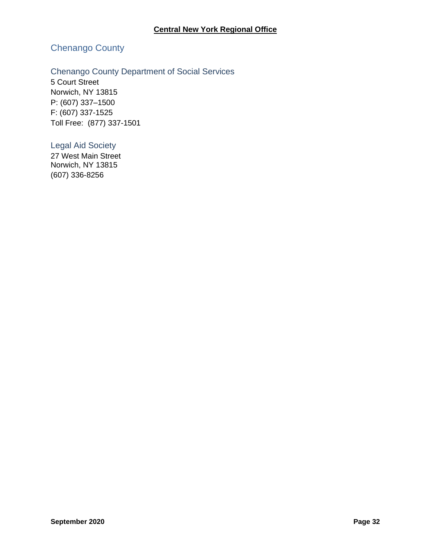## <span id="page-33-0"></span>Chenango County

## <span id="page-33-1"></span>Chenango County Department of Social Services

5 Court Street Norwich, NY 13815 P: (607) 337–1500 F: (607) 337-1525 Toll Free: (877) 337-1501

#### <span id="page-33-2"></span>Legal Aid Society

27 West Main Street Norwich, NY 13815 (607) 336-8256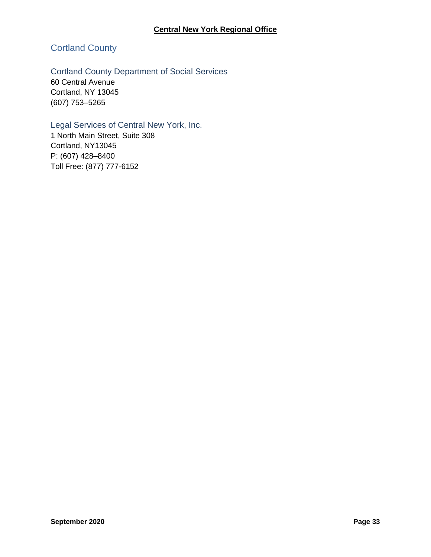## <span id="page-34-0"></span>Cortland County

## <span id="page-34-1"></span>Cortland County Department of Social Services

60 Central Avenue Cortland, NY 13045 (607) 753–5265

## <span id="page-34-2"></span>Legal Services of Central New York, Inc.

1 North Main Street, Suite 308 Cortland, NY13045 P: (607) 428–8400 Toll Free: (877) 777-6152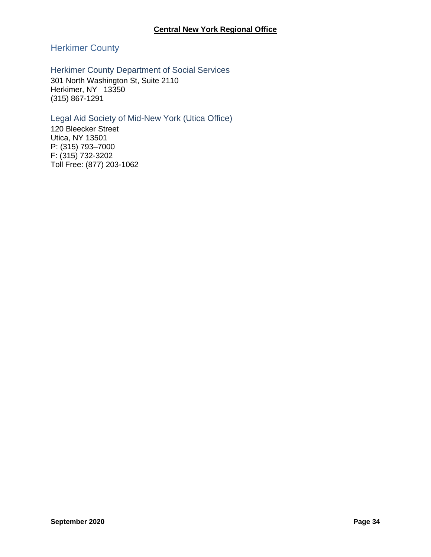## <span id="page-35-0"></span>Herkimer County

## <span id="page-35-1"></span>Herkimer County Department of Social Services

301 North Washington St, Suite 2110 Herkimer, NY 13350 (315) 867-1291

## <span id="page-35-2"></span>Legal Aid Society of Mid-New York (Utica Office)

120 Bleecker Street Utica, NY 13501 P: (315) 793–7000 F: (315) 732-3202 Toll Free: (877) 203-1062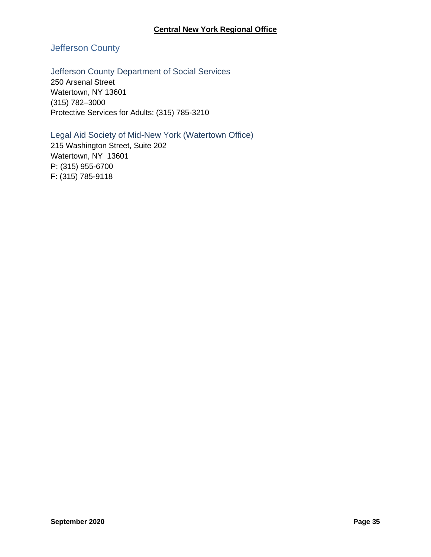# Jefferson County

### Jefferson County Department of Social Services

250 Arsenal Street Watertown, NY 13601 (315) 782–3000 Protective Services for Adults: (315) 785-3210

### Legal Aid Society of Mid-New York (Watertown Office)

215 Washington Street, Suite 202 Watertown, NY 13601 P: (315) 955-6700 F: (315) 785-9118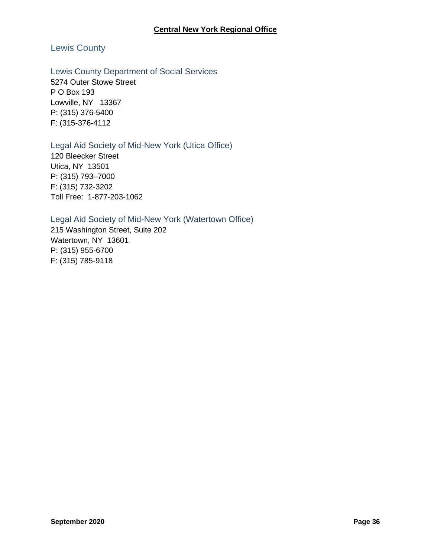# Lewis County

### Lewis County Department of Social Services

5274 Outer Stowe Street P O Box 193 Lowville, NY 13367 P: (315) 376-5400 F: (315-376-4112

### Legal Aid Society of Mid-New York (Utica Office)

120 Bleecker Street Utica, NY 13501 P: (315) 793–7000 F: (315) 732-3202 Toll Free: 1-877-203-1062

### Legal Aid Society of Mid-New York (Watertown Office)

215 Washington Street, Suite 202 Watertown, NY 13601 P: (315) 955-6700 F: (315) 785-9118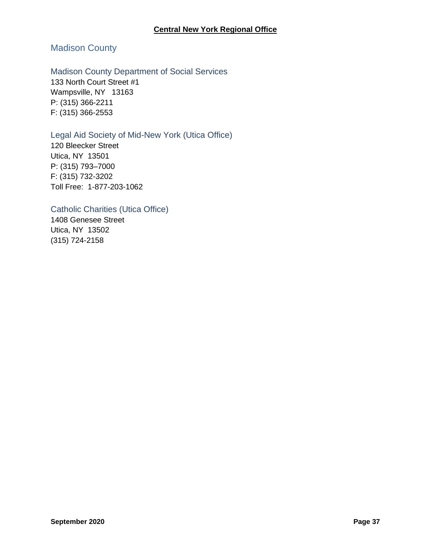# Madison County

### Madison County Department of Social Services

133 North Court Street #1 Wampsville, NY 13163 P: (315) 366-2211 F: (315) 366-2553

### Legal Aid Society of Mid-New York (Utica Office)

120 Bleecker Street Utica, NY 13501 P: (315) 793–7000 F: (315) 732-3202 Toll Free: 1-877-203-1062

### Catholic Charities (Utica Office)

1408 Genesee Street Utica, NY 13502 (315) 724-2158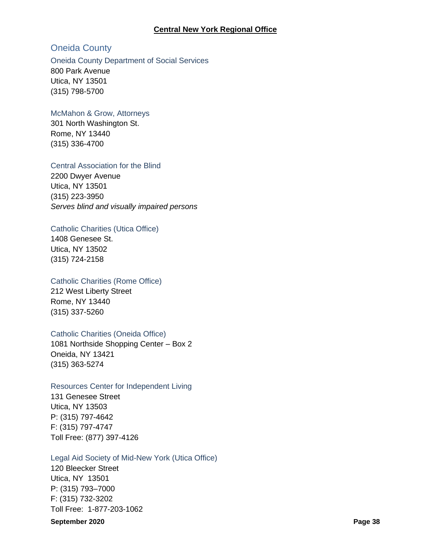#### **Central New York Regional Office**

## Oneida County

### Oneida County Department of Social Services

800 Park Avenue Utica, NY 13501 (315) 798-5700

### McMahon & Grow, Attorneys

301 North Washington St. Rome, NY 13440 (315) 336-4700

### Central Association for the Blind

2200 Dwyer Avenue Utica, NY 13501 (315) 223-3950 *Serves blind and visually impaired persons*

### Catholic Charities (Utica Office)

1408 Genesee St. Utica, NY 13502 (315) 724-2158

#### Catholic Charities (Rome Office)

212 West Liberty Street Rome, NY 13440 (315) 337-5260

### Catholic Charities (Oneida Office)

1081 Northside Shopping Center – Box 2 Oneida, NY 13421 (315) 363-5274

### Resources Center for Independent Living

131 Genesee Street Utica, NY 13503 P: (315) 797-4642 F: (315) 797-4747 Toll Free: (877) 397-4126

#### Legal Aid Society of Mid-New York (Utica Office)

120 Bleecker Street Utica, NY 13501 P: (315) 793–7000 F: (315) 732-3202 Toll Free: 1-877-203-1062

#### **September 2020 Page 38**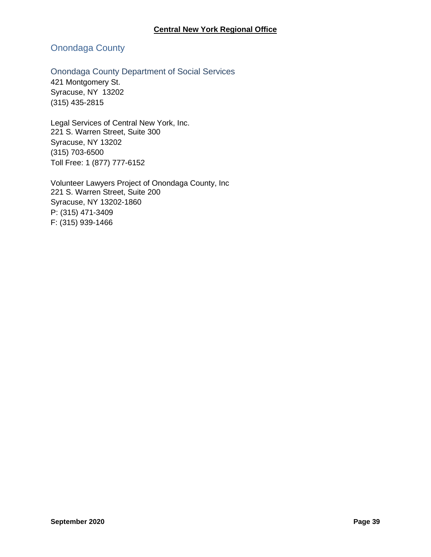# Onondaga County

# Onondaga County Department of Social Services

421 Montgomery St. Syracuse, NY 13202 (315) 435-2815

Legal Services of Central New York, Inc. 221 S. Warren Street, Suite 300 Syracuse, NY 13202 (315) 703-6500 Toll Free: 1 (877) 777-6152

Volunteer Lawyers Project of Onondaga County, Inc 221 S. Warren Street, Suite 200 Syracuse, NY 13202-1860 P: (315) 471-3409 F: (315) 939-1466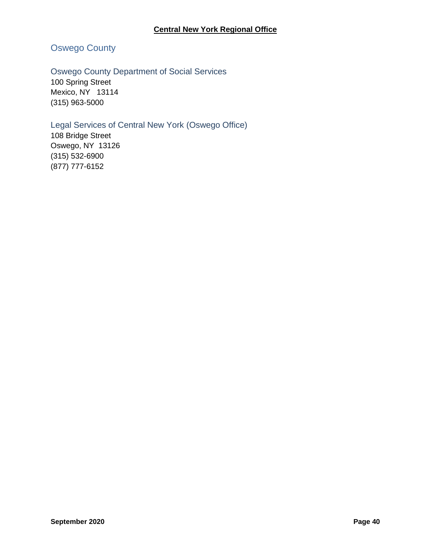# Oswego County

# Oswego County Department of Social Services

100 Spring Street Mexico, NY 13114 (315) 963-5000

# Legal Services of Central New York (Oswego Office)

108 Bridge Street Oswego, NY 13126 (315) 532-6900 (877) 777-6152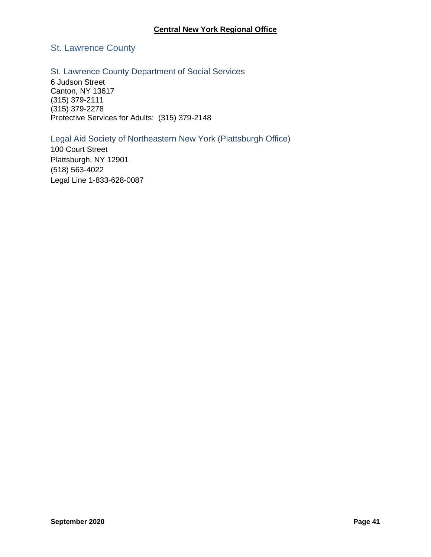# St. Lawrence County

### St. Lawrence County Department of Social Services

6 Judson Street Canton, NY 13617 (315) 379-2111 (315) 379-2278 Protective Services for Adults: (315) 379-2148

# Legal Aid Society of Northeastern New York (Plattsburgh Office)

100 Court Street Plattsburgh, NY 12901 (518) 563-4022 Legal Line 1-833-628-0087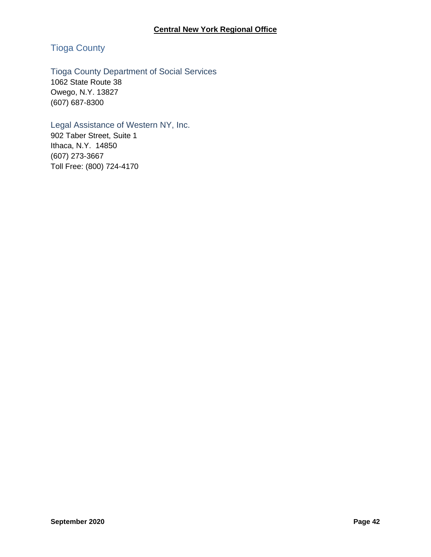# Tioga County

# Tioga County Department of Social Services

1062 State Route 38 Owego, N.Y. 13827 (607) 687-8300

# Legal Assistance of Western NY, Inc.

902 Taber Street, Suite 1 Ithaca, N.Y. 14850 (607) 273-3667 Toll Free: (800) 724-4170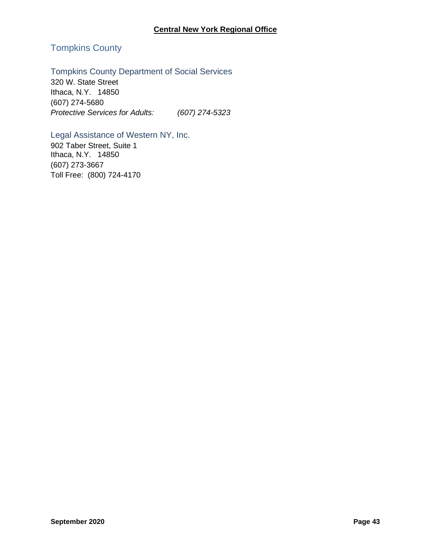# Tompkins County

# Tompkins County Department of Social Services

320 W. State Street Ithaca, N.Y. 14850 (607) 274-5680 *Protective Services for Adults: (607) 274-5323*

# Legal Assistance of Western NY, Inc.

902 Taber Street, Suite 1 Ithaca, N.Y. 14850 (607) 273-3667 Toll Free: (800) 724-4170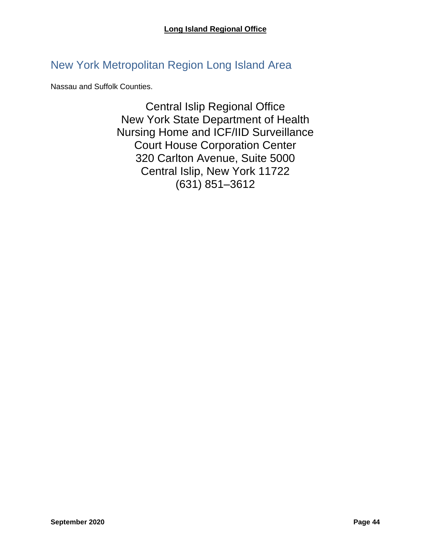# New York Metropolitan Region Long Island Area

Nassau and Suffolk Counties.

Central Islip Regional Office New York State Department of Health Nursing Home and ICF/IID Surveillance Court House Corporation Center 320 Carlton Avenue, Suite 5000 Central Islip, New York 11722 (631) 851–3612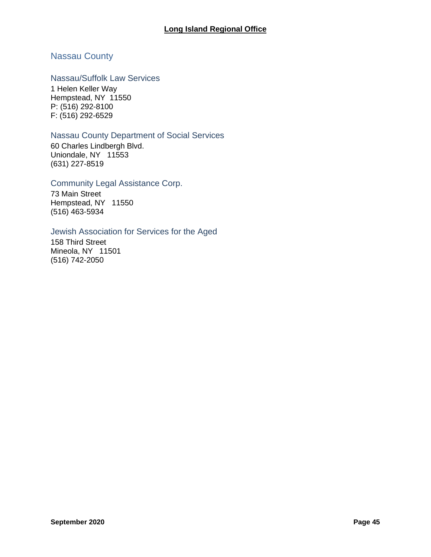# Nassau County

### Nassau/Suffolk Law Services

1 Helen Keller Way Hempstead, NY 11550 P: (516) 292-8100 F: (516) 292-6529

#### Nassau County Department of Social Services

60 Charles Lindbergh Blvd. Uniondale, NY 11553 (631) 227-8519

### Community Legal Assistance Corp.

73 Main Street Hempstead, NY 11550 (516) 463-5934

#### Jewish Association for Services for the Aged

158 Third Street Mineola, NY 11501 (516) 742-2050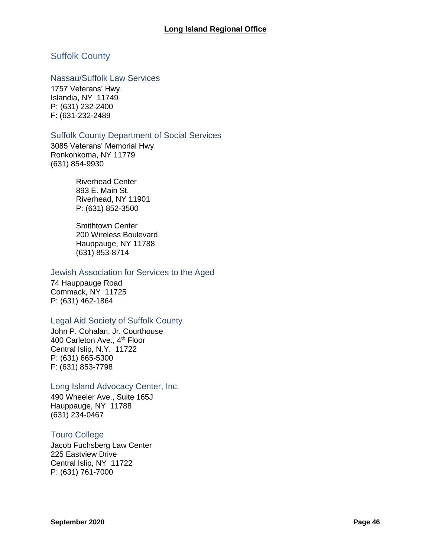# Suffolk County

### Nassau/Suffolk Law Services

1757 Veterans' Hwy. Islandia, NY 11749 P: (631) 232-2400 F: (631-232-2489

#### Suffolk County Department of Social Services

3085 Veterans' Memorial Hwy. Ronkonkoma, NY 11779 (631) 854-9930

> Riverhead Center 893 E. Main St. Riverhead, NY 11901 P: (631) 852-3500

Smithtown Center 200 Wireless Boulevard Hauppauge, NY 11788 (631) 853-8714

#### Jewish Association for Services to the Aged

74 Hauppauge Road Commack, NY 11725 P: (631) 462-1864

### Legal Aid Society of Suffolk County

John P. Cohalan, Jr. Courthouse 400 Carleton Ave., 4<sup>th</sup> Floor Central Islip, N.Y. 11722 P: (631) 665-5300 F: (631) 853-7798

### Long Island Advocacy Center, Inc.

490 Wheeler Ave., Suite 165J Hauppauge, NY 11788 (631) 234-0467

### Touro College

Jacob Fuchsberg Law Center 225 Eastview Drive Central Islip, NY 11722 P: (631) 761-7000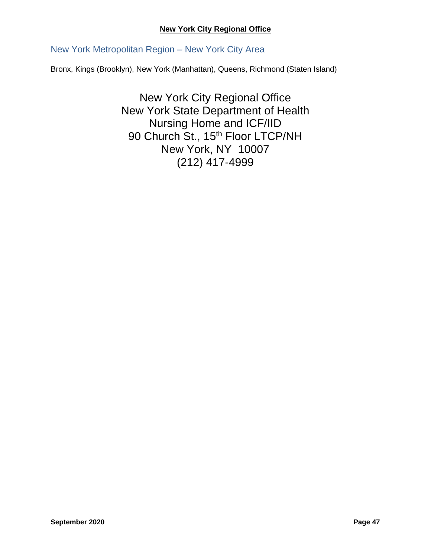### **New York City Regional Office**

New York Metropolitan Region – New York City Area

Bronx, Kings (Brooklyn), New York (Manhattan), Queens, Richmond (Staten Island)

New York City Regional Office New York State Department of Health Nursing Home and ICF/IID 90 Church St., 15<sup>th</sup> Floor LTCP/NH New York, NY 10007 (212) 417-4999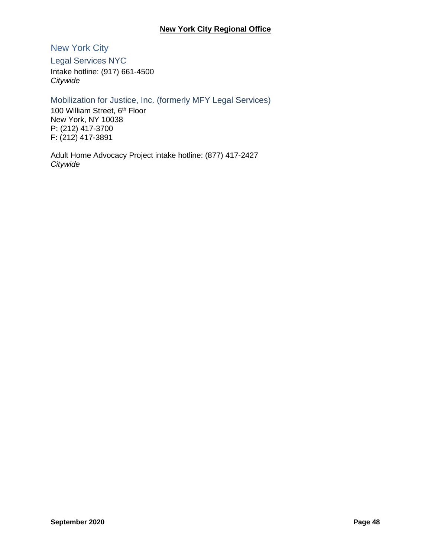## **New York City Regional Office**

New York City

Legal Services NYC Intake hotline: (917) 661-4500 *Citywide*

Mobilization for Justice, Inc. (formerly MFY Legal Services)

100 William Street, 6<sup>th</sup> Floor New York, NY 10038 P: (212) 417-3700 F: (212) 417-3891

Adult Home Advocacy Project intake hotline: (877) 417-2427 *Citywide*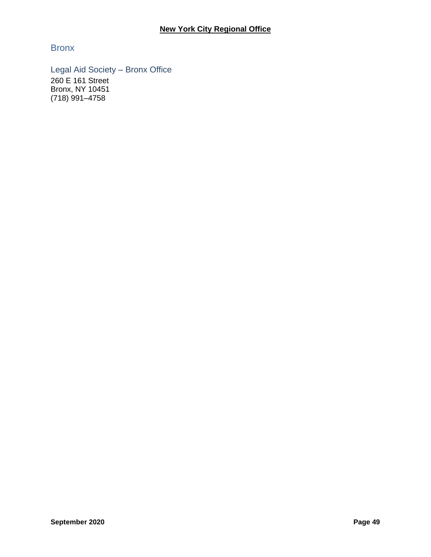**Bronx** 

Legal Aid Society – Bronx Office 260 E 161 Street Bronx, NY 10451 (718) 991–4758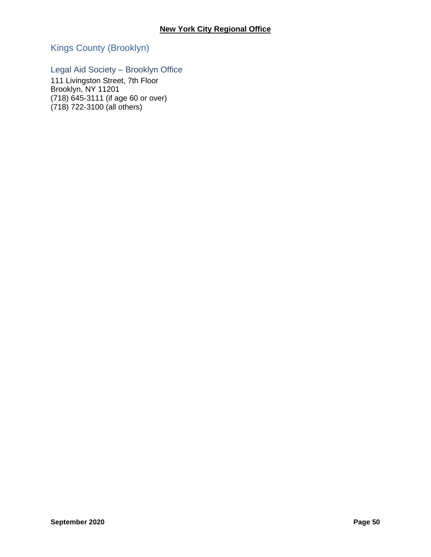# Kings County (Brooklyn)

# Legal Aid Society – Brooklyn Office

111 Livingston Street, 7th Floor Brooklyn, NY 11201 (718) 645-3111 (if age 60 or over) (718) 722-3100 (all others)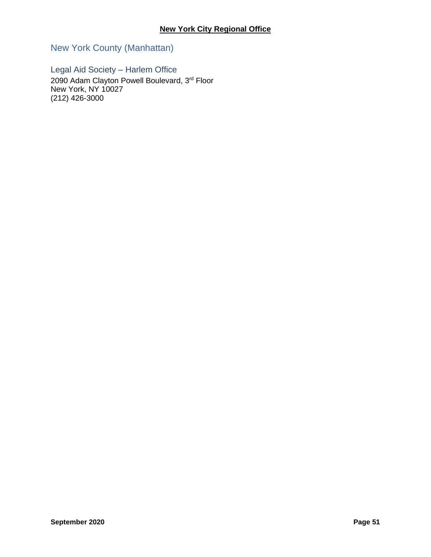New York County (Manhattan)

Legal Aid Society – Harlem Office 2090 Adam Clayton Powell Boulevard, 3rd Floor New York, NY 10027 (212) 426-3000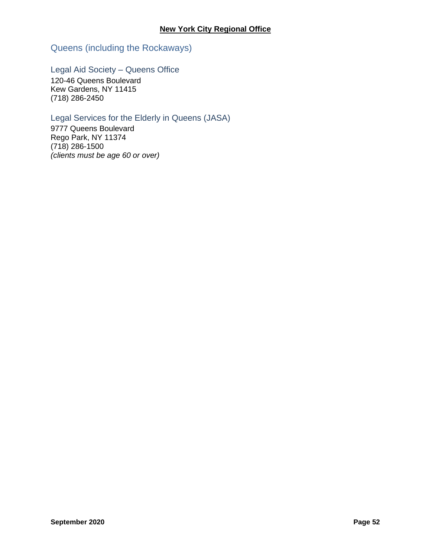Queens (including the Rockaways)

Legal Aid Society – Queens Office

120-46 Queens Boulevard Kew Gardens, NY 11415 (718) 286-2450

# Legal Services for the Elderly in Queens (JASA)

9777 Queens Boulevard Rego Park, NY 11374 (718) 286-1500 *(clients must be age 60 or over)*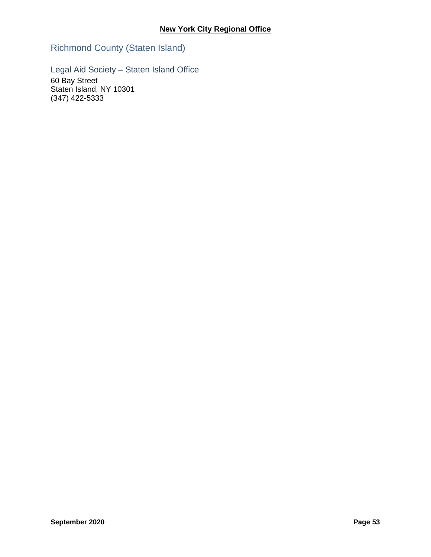Richmond County (Staten Island)

Legal Aid Society – Staten Island Office

60 Bay Street Staten Island, NY 10301 (347) 422-5333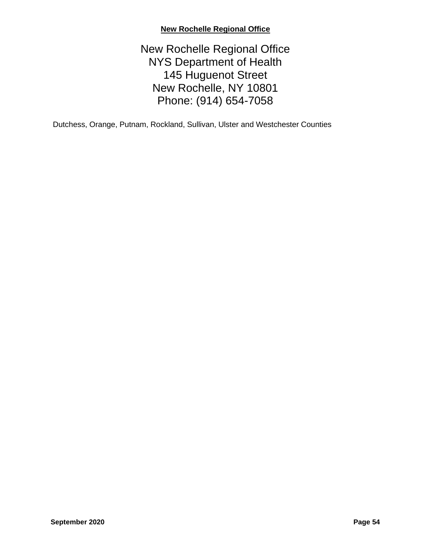# **New Rochelle Regional Office**

# New Rochelle Regional Office NYS Department of Health 145 Huguenot Street New Rochelle, NY 10801 Phone: (914) 654-7058

Dutchess, Orange, Putnam, Rockland, Sullivan, Ulster and Westchester Counties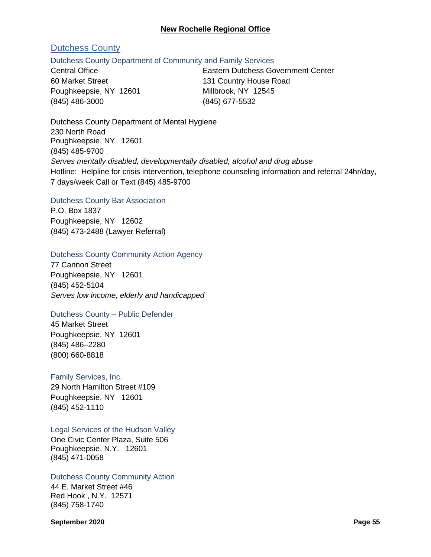### **New Rochelle Regional Office**

# Dutchess County

### Dutchess County Department of Community and Family Services

60 Market Street 131 Country House Road Poughkeepsie, NY 12601 Millbrook, NY 12545 (845) 486-3000 (845) 677-5532

Central Office Eastern Dutchess Government Center

Dutchess County Department of Mental Hygiene 230 North Road Poughkeepsie, NY 12601 (845) 485-9700 *Serves mentally disabled, developmentally disabled, alcohol and drug abuse* Hotline: Helpline for crisis intervention, telephone counseling information and referral 24hr/day, 7 days/week Call or Text (845) 485-9700

#### Dutchess County Bar Association

P.O. Box 1837 Poughkeepsie, NY 12602 (845) 473-2488 (Lawyer Referral)

### Dutchess County Community Action Agency

77 Cannon Street Poughkeepsie, NY 12601 (845) 452-5104 *Serves low income, elderly and handicapped*

### Dutchess County – Public Defender

45 Market Street Poughkeepsie, NY 12601 (845) 486–2280 (800) 660-8818

### Family Services, Inc.

29 North Hamilton Street #109 Poughkeepsie, NY 12601 (845) 452-1110

Legal Services of the Hudson Valley

One Civic Center Plaza, Suite 506 Poughkeepsie, N.Y. 12601 (845) 471-0058

#### Dutchess County Community Action

44 E. Market Street #46 Red Hook , N.Y. 12571 (845) 758-1740

**September 2020 Page 55**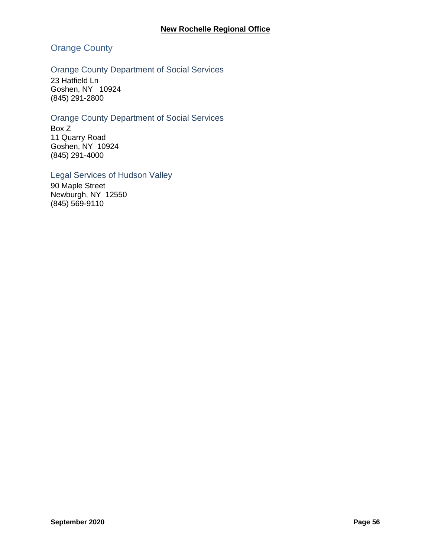# Orange County

## Orange County Department of Social Services

23 Hatfield Ln Goshen, NY 10924 (845) 291-2800

### Orange County Department of Social Services

Box Z 11 Quarry Road Goshen, NY 10924 (845) 291-4000

### Legal Services of Hudson Valley

90 Maple Street Newburgh, NY 12550 (845) 569-9110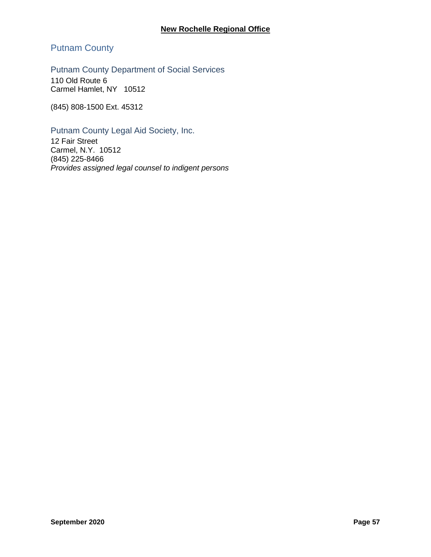# Putnam County

Putnam County Department of Social Services

110 Old Route 6 Carmel Hamlet, NY 10512

(845) 808-1500 Ext. 45312

Putnam County Legal Aid Society, Inc.

12 Fair Street Carmel, N.Y. 10512 (845) 225-8466 *Provides assigned legal counsel to indigent persons*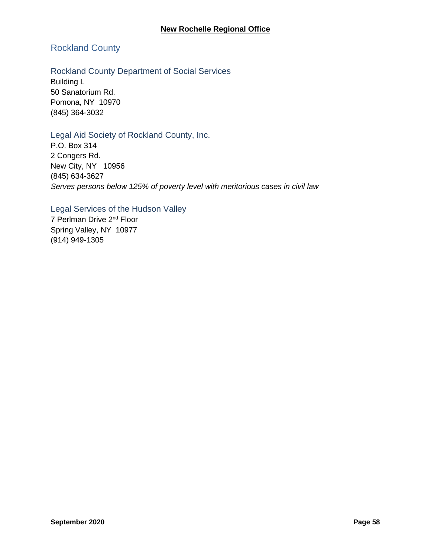# Rockland County

## Rockland County Department of Social Services

Building L 50 Sanatorium Rd. Pomona, NY 10970 (845) 364-3032

### Legal Aid Society of Rockland County, Inc.

P.O. Box 314 2 Congers Rd. New City, NY 10956 (845) 634-3627 *Serves persons below 125% of poverty level with meritorious cases in civil law*

## Legal Services of the Hudson Valley

7 Perlman Drive 2nd Floor Spring Valley, NY 10977 (914) 949-1305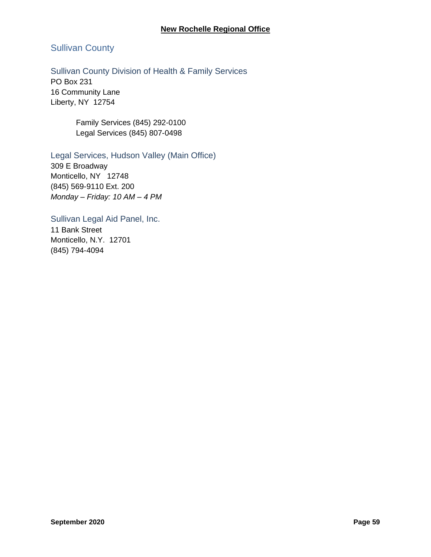### **New Rochelle Regional Office**

# Sullivan County

### Sullivan County Division of Health & Family Services

PO Box 231 16 Community Lane Liberty, NY 12754

> Family Services (845) 292-0100 Legal Services (845) 807-0498

### Legal Services, Hudson Valley (Main Office)

309 E Broadway Monticello, NY 12748 (845) 569-9110 Ext. 200 *Monday – Friday: 10 AM – 4 PM*

Sullivan Legal Aid Panel, Inc. 11 Bank Street Monticello, N.Y. 12701 (845) 794-4094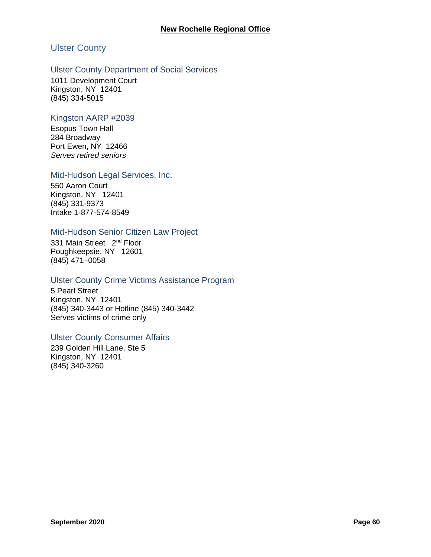# Ulster County

### Ulster County Department of Social Services

1011 Development Court Kingston, NY 12401 (845) 334-5015

### Kingston AARP #2039

Esopus Town Hall 284 Broadway Port Ewen, NY 12466 *Serves retired seniors*

### Mid-Hudson Legal Services, Inc.

550 Aaron Court Kingston, NY 12401 (845) 331-9373 Intake 1-877-574-8549

### Mid-Hudson Senior Citizen Law Project

331 Main Street 2<sup>nd</sup> Floor Poughkeepsie, NY 12601 (845) 471–0058

### Ulster County Crime Victims Assistance Program

5 Pearl Street Kingston, NY 12401 (845) 340-3443 or Hotline (845) 340-3442 Serves victims of crime only

### Ulster County Consumer Affairs

239 Golden Hill Lane, Ste 5 Kingston, NY 12401 (845) 340-3260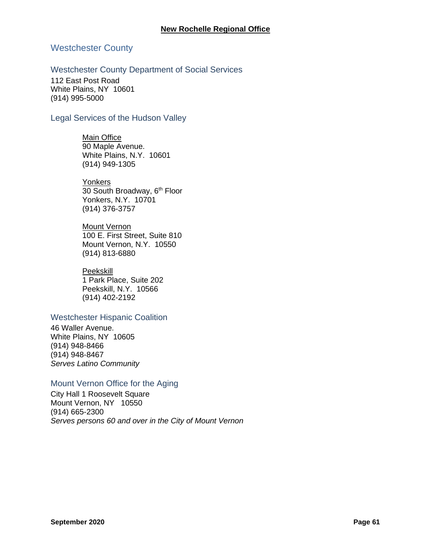### Westchester County

### Westchester County Department of Social Services

112 East Post Road White Plains, NY 10601 (914) 995-5000

### Legal Services of the Hudson Valley

**Main Office** 90 Maple Avenue. White Plains, N.Y. 10601 (914) 949-1305

**Yonkers** 30 South Broadway, 6<sup>th</sup> Floor

Yonkers, N.Y. 10701 (914) 376-3757

**Mount Vernon** 100 E. First Street, Suite 810 Mount Vernon, N.Y. 10550 (914) 813-6880

#### Peekskill

1 Park Place, Suite 202 Peekskill, N.Y. 10566 (914) 402-2192

### Westchester Hispanic Coalition

46 Waller Avenue. White Plains, NY 10605 (914) 948-8466 (914) 948-8467 *Serves Latino Community*

### Mount Vernon Office for the Aging

City Hall 1 Roosevelt Square Mount Vernon, NY 10550 (914) 665-2300 *Serves persons 60 and over in the City of Mount Vernon*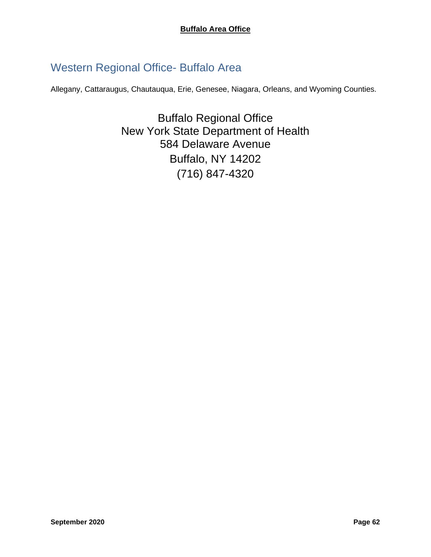# Western Regional Office- Buffalo Area

Allegany, Cattaraugus, Chautauqua, Erie, Genesee, Niagara, Orleans, and Wyoming Counties.

Buffalo Regional Office New York State Department of Health 584 Delaware Avenue Buffalo, NY 14202 (716) 847-4320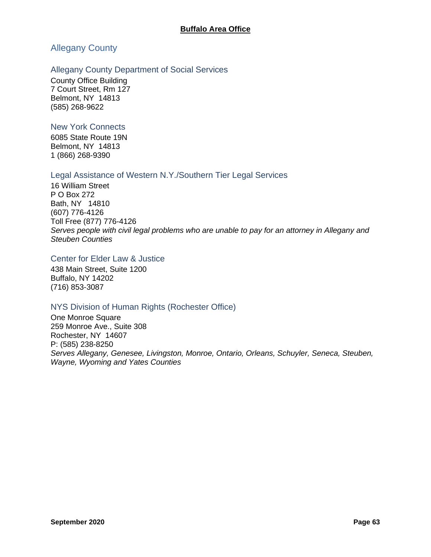# Allegany County

### Allegany County Department of Social Services

County Office Building 7 Court Street, Rm 127 Belmont, NY 14813 (585) 268-9622

### New York Connects

6085 State Route 19N Belmont, NY 14813 1 (866) 268-9390

### Legal Assistance of Western N.Y./Southern Tier Legal Services

16 William Street P O Box 272 Bath, NY 14810 (607) 776-4126 Toll Free (877) 776-4126 *Serves people with civil legal problems who are unable to pay for an attorney in Allegany and Steuben Counties*

### Center for Elder Law & Justice

438 Main Street, Suite 1200 Buffalo, NY 14202 (716) 853-3087

### NYS Division of Human Rights (Rochester Office)

One Monroe Square 259 Monroe Ave., Suite 308 Rochester, NY 14607 P: (585) 238-8250 *Serves Allegany, Genesee, Livingston, Monroe, Ontario, Orleans, Schuyler, Seneca, Steuben, Wayne, Wyoming and Yates Counties*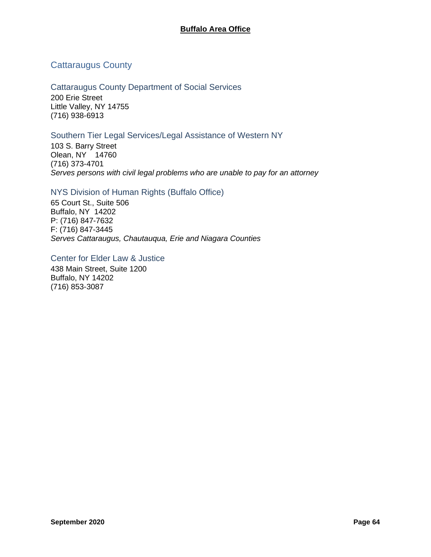# Cattaraugus County

Cattaraugus County Department of Social Services 200 Erie Street Little Valley, NY 14755 (716) 938-6913

### Southern Tier Legal Services/Legal Assistance of Western NY

103 S. Barry Street Olean, NY 14760 (716) 373-4701 *Serves persons with civil legal problems who are unable to pay for an attorney*

### NYS Division of Human Rights (Buffalo Office)

65 Court St., Suite 506 Buffalo, NY 14202 P: (716) 847-7632 F: (716) 847-3445 *Serves Cattaraugus, Chautauqua, Erie and Niagara Counties*

Center for Elder Law & Justice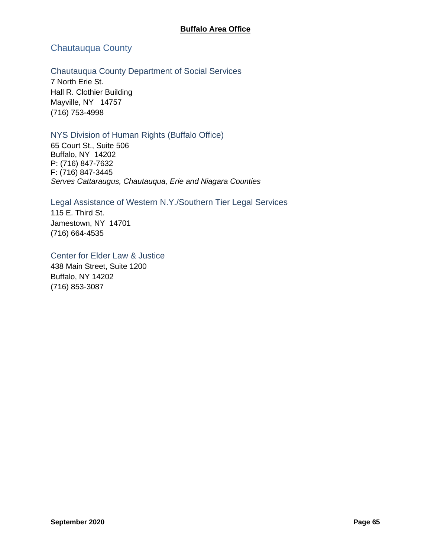# Chautauqua County

### Chautauqua County Department of Social Services

7 North Erie St. Hall R. Clothier Building Mayville, NY 14757 (716) 753-4998

### NYS Division of Human Rights (Buffalo Office)

65 Court St., Suite 506 Buffalo, NY 14202 P: (716) 847-7632 F: (716) 847-3445 *Serves Cattaraugus, Chautauqua, Erie and Niagara Counties*

# Legal Assistance of Western N.Y./Southern Tier Legal Services

115 E. Third St. Jamestown, NY 14701 (716) 664-4535

Center for Elder Law & Justice 438 Main Street, Suite 1200 Buffalo, NY 14202 (716) 853-3087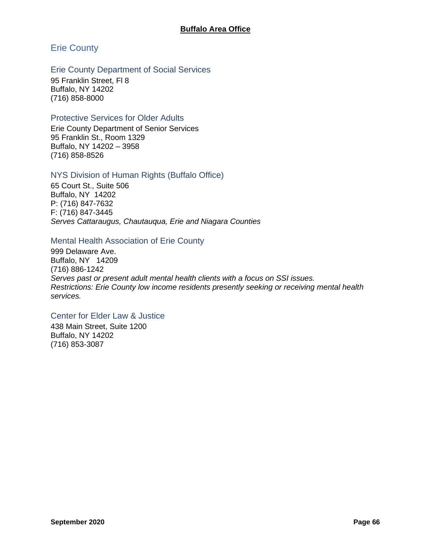# Erie County

### Erie County Department of Social Services

95 Franklin Street, Fl 8 Buffalo, NY 14202 (716) 858-8000

### Protective Services for Older Adults

Erie County Department of Senior Services 95 Franklin St., Room 1329 Buffalo, NY 14202 – 3958 (716) 858-8526

### NYS Division of Human Rights (Buffalo Office)

65 Court St., Suite 506 Buffalo, NY 14202 P: (716) 847-7632 F: (716) 847-3445 *Serves Cattaraugus, Chautauqua, Erie and Niagara Counties*

### Mental Health Association of Erie County

999 Delaware Ave. Buffalo, NY 14209 (716) 886-1242 *Serves past or present adult mental health clients with a focus on SSI issues. Restrictions: Erie County low income residents presently seeking or receiving mental health services.*

### Center for Elder Law & Justice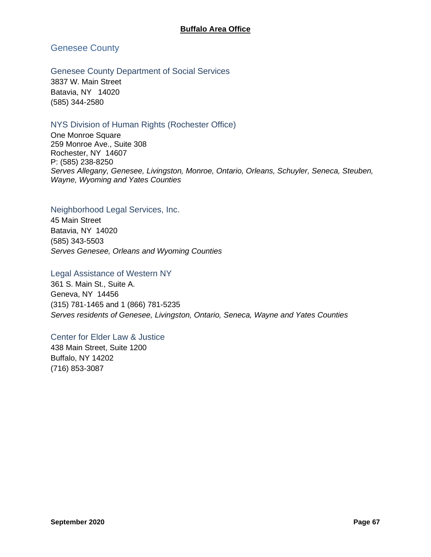Genesee County

Genesee County Department of Social Services

3837 W. Main Street Batavia, NY 14020 (585) 344-2580

# NYS Division of Human Rights (Rochester Office)

One Monroe Square 259 Monroe Ave., Suite 308 Rochester, NY 14607 P: (585) 238-8250 *Serves Allegany, Genesee, Livingston, Monroe, Ontario, Orleans, Schuyler, Seneca, Steuben, Wayne, Wyoming and Yates Counties*

### Neighborhood Legal Services, Inc.

45 Main Street Batavia, NY 14020 (585) 343-5503 *Serves Genesee, Orleans and Wyoming Counties*

### Legal Assistance of Western NY

361 S. Main St., Suite A. Geneva, NY 14456 (315) 781-1465 and 1 (866) 781-5235 *Serves residents of Genesee, Livingston, Ontario, Seneca, Wayne and Yates Counties*

### Center for Elder Law & Justice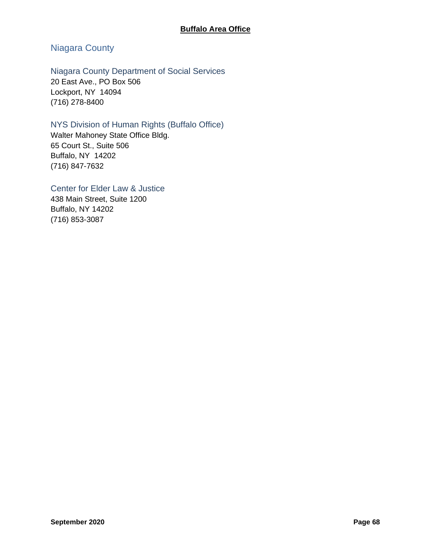# Niagara County

# Niagara County Department of Social Services

20 East Ave., PO Box 506 Lockport, NY 14094 (716) 278-8400

# NYS Division of Human Rights (Buffalo Office)

Walter Mahoney State Office Bldg. 65 Court St., Suite 506 Buffalo, NY 14202 (716) 847-7632

# Center for Elder Law & Justice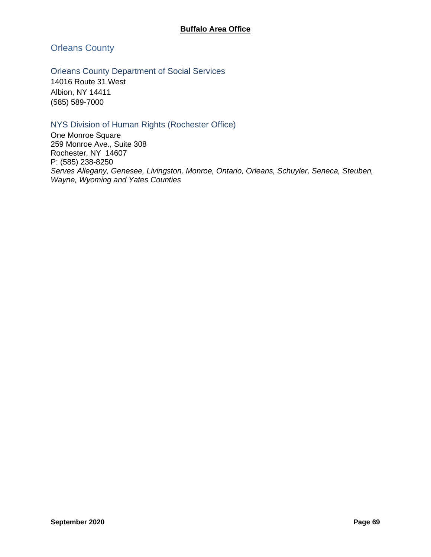Orleans County

Orleans County Department of Social Services

14016 Route 31 West Albion, NY 14411 (585) 589-7000

# NYS Division of Human Rights (Rochester Office)

One Monroe Square 259 Monroe Ave., Suite 308 Rochester, NY 14607 P: (585) 238-8250 *Serves Allegany, Genesee, Livingston, Monroe, Ontario, Orleans, Schuyler, Seneca, Steuben, Wayne, Wyoming and Yates Counties*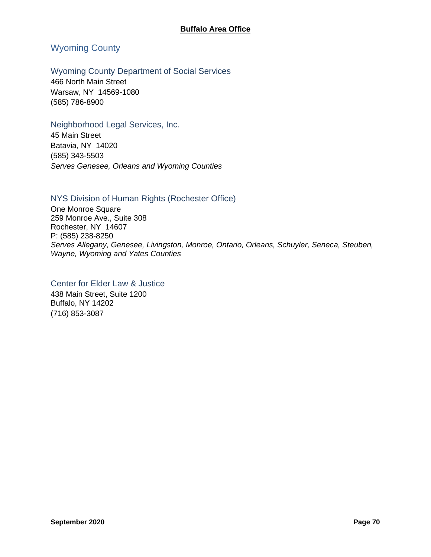# Wyoming County

### Wyoming County Department of Social Services

466 North Main Street Warsaw, NY 14569-1080 (585) 786-8900

### Neighborhood Legal Services, Inc.

45 Main Street Batavia, NY 14020 (585) 343-5503 *Serves Genesee, Orleans and Wyoming Counties*

### NYS Division of Human Rights (Rochester Office)

One Monroe Square 259 Monroe Ave., Suite 308 Rochester, NY 14607 P: (585) 238-8250 *Serves Allegany, Genesee, Livingston, Monroe, Ontario, Orleans, Schuyler, Seneca, Steuben, Wayne, Wyoming and Yates Counties*

# Center for Elder Law & Justice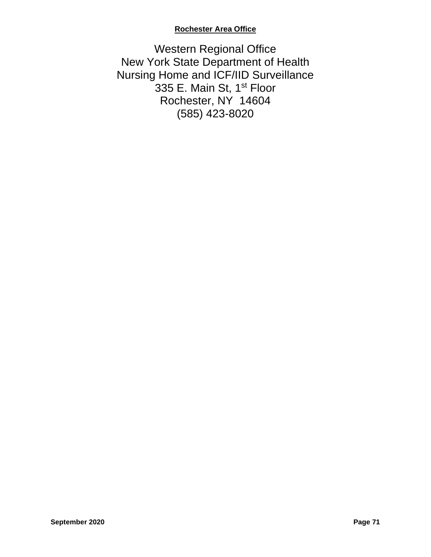## **Rochester Area Office**

Western Regional Office New York State Department of Health Nursing Home and ICF/IID Surveillance 335 E. Main St, 1<sup>st</sup> Floor Rochester, NY 14604 (585) 423-8020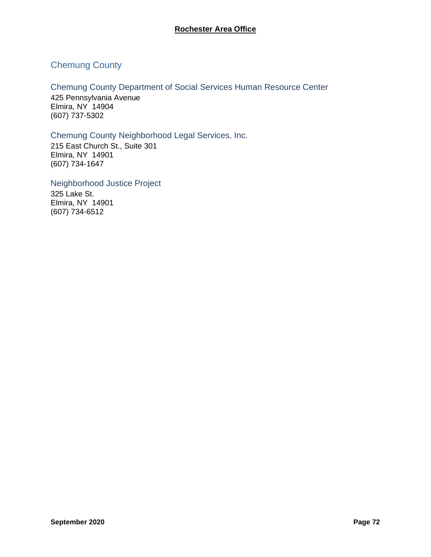## Chemung County

Chemung County Department of Social Services Human Resource Center 425 Pennsylvania Avenue Elmira, NY 14904 (607) 737-5302

## Chemung County Neighborhood Legal Services, Inc.

215 East Church St., Suite 301 Elmira, NY 14901 (607) 734-1647

Neighborhood Justice Project 325 Lake St. Elmira, NY 14901 (607) 734-6512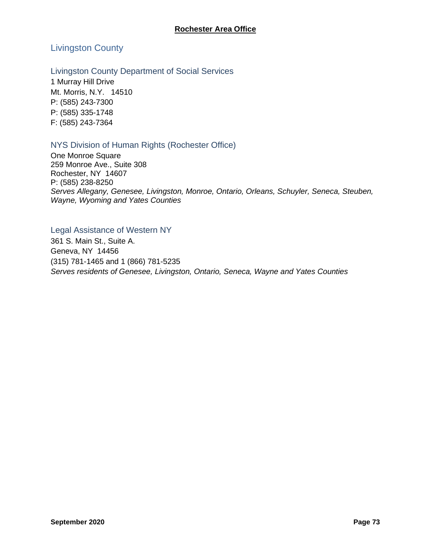## Livingston County

## Livingston County Department of Social Services

1 Murray Hill Drive Mt. Morris, N.Y. 14510 P: (585) 243-7300 P: (585) 335-1748 F: (585) 243-7364

## NYS Division of Human Rights (Rochester Office)

One Monroe Square 259 Monroe Ave., Suite 308 Rochester, NY 14607 P: (585) 238-8250 *Serves Allegany, Genesee, Livingston, Monroe, Ontario, Orleans, Schuyler, Seneca, Steuben, Wayne, Wyoming and Yates Counties*

## Legal Assistance of Western NY

361 S. Main St., Suite A. Geneva, NY 14456 (315) 781-1465 and 1 (866) 781-5235 *Serves residents of Genesee, Livingston, Ontario, Seneca, Wayne and Yates Counties*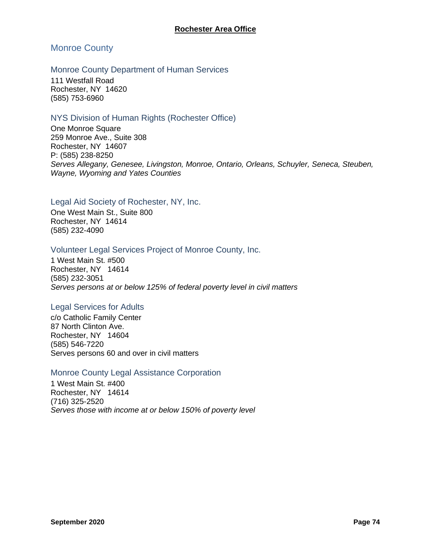## Monroe County

## Monroe County Department of Human Services

111 Westfall Road Rochester, NY 14620 (585) 753-6960

## NYS Division of Human Rights (Rochester Office)

One Monroe Square 259 Monroe Ave., Suite 308 Rochester, NY 14607 P: (585) 238-8250 *Serves Allegany, Genesee, Livingston, Monroe, Ontario, Orleans, Schuyler, Seneca, Steuben, Wayne, Wyoming and Yates Counties*

## Legal Aid Society of Rochester, NY, Inc.

One West Main St., Suite 800 Rochester, NY 14614 (585) 232-4090

## Volunteer Legal Services Project of Monroe County, Inc.

1 West Main St. #500 Rochester, NY 14614 (585) 232-3051 *Serves persons at or below 125% of federal poverty level in civil matters*

## Legal Services for Adults

c/o Catholic Family Center 87 North Clinton Ave. Rochester, NY 14604 (585) 546-7220 Serves persons 60 and over in civil matters

## Monroe County Legal Assistance Corporation

1 West Main St. #400 Rochester, NY 14614 (716) 325-2520 *Serves those with income at or below 150% of poverty level*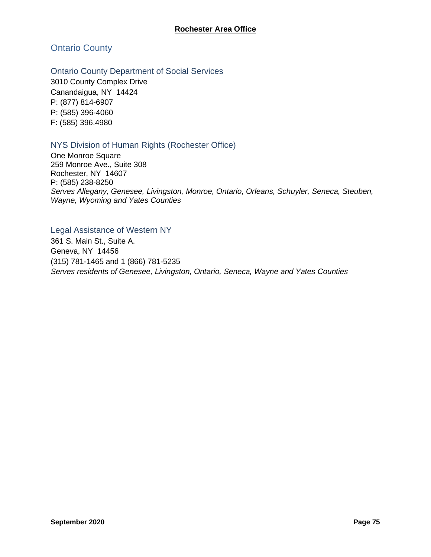Ontario County

Ontario County Department of Social Services

3010 County Complex Drive Canandaigua, NY 14424 P: (877) 814-6907 P: (585) 396-4060 F: (585) 396.4980

## NYS Division of Human Rights (Rochester Office)

One Monroe Square 259 Monroe Ave., Suite 308 Rochester, NY 14607 P: (585) 238-8250 *Serves Allegany, Genesee, Livingston, Monroe, Ontario, Orleans, Schuyler, Seneca, Steuben, Wayne, Wyoming and Yates Counties*

## Legal Assistance of Western NY

361 S. Main St., Suite A. Geneva, NY 14456 (315) 781-1465 and 1 (866) 781-5235 *Serves residents of Genesee, Livingston, Ontario, Seneca, Wayne and Yates Counties*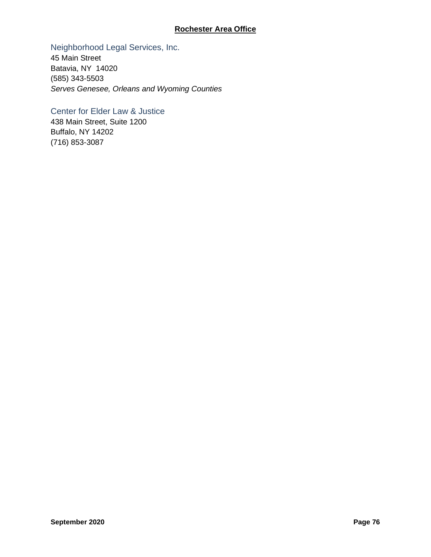## **Rochester Area Office**

## Neighborhood Legal Services, Inc.

45 Main Street Batavia, NY 14020 (585) 343-5503 *Serves Genesee, Orleans and Wyoming Counties*

## Center for Elder Law & Justice

438 Main Street, Suite 1200 Buffalo, NY 14202 (716) 853-3087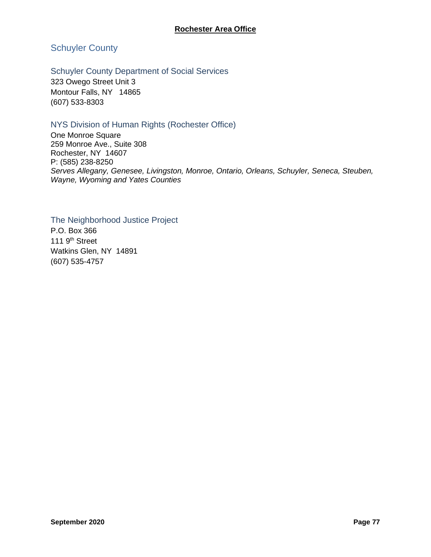Schuyler County

## Schuyler County Department of Social Services

323 Owego Street Unit 3 Montour Falls, NY 14865 (607) 533-8303

## NYS Division of Human Rights (Rochester Office)

One Monroe Square 259 Monroe Ave., Suite 308 Rochester, NY 14607 P: (585) 238-8250 *Serves Allegany, Genesee, Livingston, Monroe, Ontario, Orleans, Schuyler, Seneca, Steuben, Wayne, Wyoming and Yates Counties*

The Neighborhood Justice Project P.O. Box 366 111 9<sup>th</sup> Street Watkins Glen, NY 14891 (607) 535-4757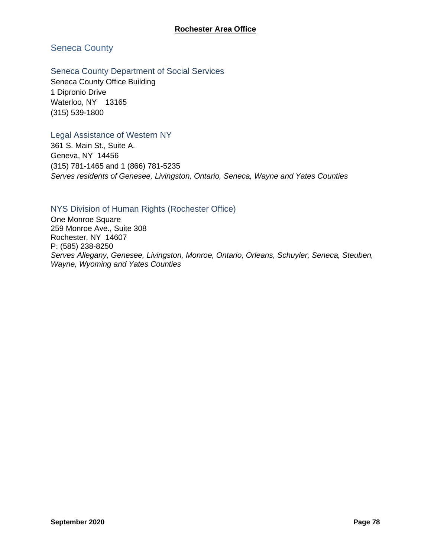## Seneca County

## Seneca County Department of Social Services

Seneca County Office Building 1 Dipronio Drive Waterloo, NY 13165 (315) 539-1800

## Legal Assistance of Western NY

361 S. Main St., Suite A. Geneva, NY 14456 (315) 781-1465 and 1 (866) 781-5235 *Serves residents of Genesee, Livingston, Ontario, Seneca, Wayne and Yates Counties*

## NYS Division of Human Rights (Rochester Office)

One Monroe Square 259 Monroe Ave., Suite 308 Rochester, NY 14607 P: (585) 238-8250 *Serves Allegany, Genesee, Livingston, Monroe, Ontario, Orleans, Schuyler, Seneca, Steuben, Wayne, Wyoming and Yates Counties*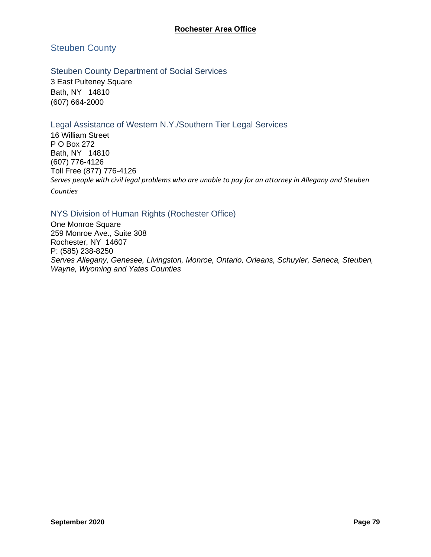## **Rochester Area Office**

## Steuben County

## Steuben County Department of Social Services

3 East Pulteney Square Bath, NY 14810 (607) 664-2000

## Legal Assistance of Western N.Y./Southern Tier Legal Services

16 William Street P O Box 272 Bath, NY 14810 (607) 776-4126 Toll Free (877) 776-4126 *Serves people with civil legal problems who are unable to pay for an attorney in Allegany and Steuben Counties*

## NYS Division of Human Rights (Rochester Office)

One Monroe Square 259 Monroe Ave., Suite 308 Rochester, NY 14607 P: (585) 238-8250 *Serves Allegany, Genesee, Livingston, Monroe, Ontario, Orleans, Schuyler, Seneca, Steuben, Wayne, Wyoming and Yates Counties*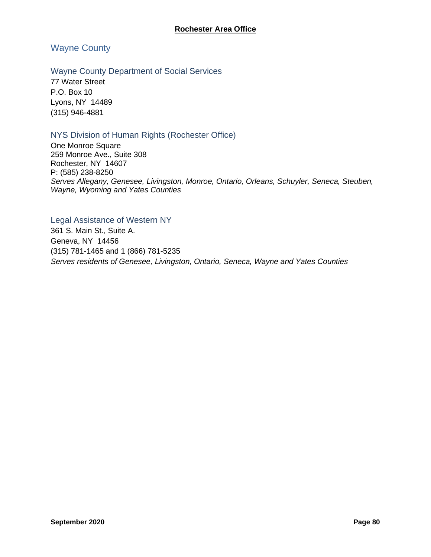Wayne County

#### Wayne County Department of Social Services

77 Water Street P.O. Box 10 Lyons, NY 14489 (315) 946-4881

## NYS Division of Human Rights (Rochester Office)

One Monroe Square 259 Monroe Ave., Suite 308 Rochester, NY 14607 P: (585) 238-8250 *Serves Allegany, Genesee, Livingston, Monroe, Ontario, Orleans, Schuyler, Seneca, Steuben, Wayne, Wyoming and Yates Counties*

Legal Assistance of Western NY 361 S. Main St., Suite A. Geneva, NY 14456 (315) 781-1465 and 1 (866) 781-5235 *Serves residents of Genesee, Livingston, Ontario, Seneca, Wayne and Yates Counties*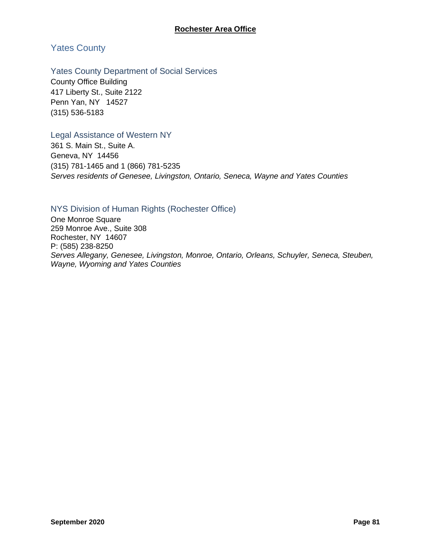## Yates County

## Yates County Department of Social Services

County Office Building 417 Liberty St., Suite 2122 Penn Yan, NY 14527 (315) 536-5183

## Legal Assistance of Western NY

361 S. Main St., Suite A. Geneva, NY 14456 (315) 781-1465 and 1 (866) 781-5235 *Serves residents of Genesee, Livingston, Ontario, Seneca, Wayne and Yates Counties*

## NYS Division of Human Rights (Rochester Office)

One Monroe Square 259 Monroe Ave., Suite 308 Rochester, NY 14607 P: (585) 238-8250 *Serves Allegany, Genesee, Livingston, Monroe, Ontario, Orleans, Schuyler, Seneca, Steuben, Wayne, Wyoming and Yates Counties*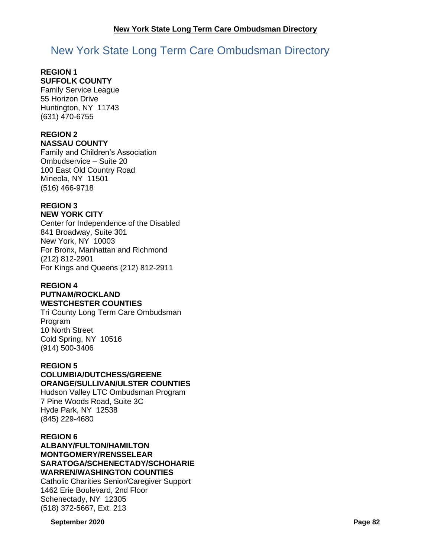# New York State Long Term Care Ombudsman Directory

#### **REGION 1 SUFFOLK COUNTY**

Family Service League 55 Horizon Drive Huntington, NY 11743 (631) 470-6755

# **REGION 2**

**NASSAU COUNTY**

Family and Children's Association Ombudservice – Suite 20 100 East Old Country Road Mineola, NY 11501 (516) 466-9718

# **REGION 3**

**NEW YORK CITY**

Center for Independence of the Disabled 841 Broadway, Suite 301 New York, NY 10003 For Bronx, Manhattan and Richmond (212) 812-2901 For Kings and Queens (212) 812-2911

## **REGION 4 PUTNAM/ROCKLAND**

## **WESTCHESTER COUNTIES**

Tri County Long Term Care Ombudsman Program 10 North Street Cold Spring, NY 10516 (914) 500-3406

## **REGION 5**

## **COLUMBIA/DUTCHESS/GREENE ORANGE/SULLIVAN/ULSTER COUNTIES**

Hudson Valley LTC Ombudsman Program 7 Pine Woods Road, Suite 3C Hyde Park, NY 12538 (845) 229-4680

## **REGION 6**

**ALBANY/FULTON/HAMILTON MONTGOMERY/RENSSELEAR SARATOGA/SCHENECTADY/SCHOHARIE WARREN/WASHINGTON COUNTIES**

Catholic Charities Senior/Caregiver Support 1462 Erie Boulevard, 2nd Floor Schenectady, NY 12305 (518) 372-5667, Ext. 213

**September 2020 Page 82**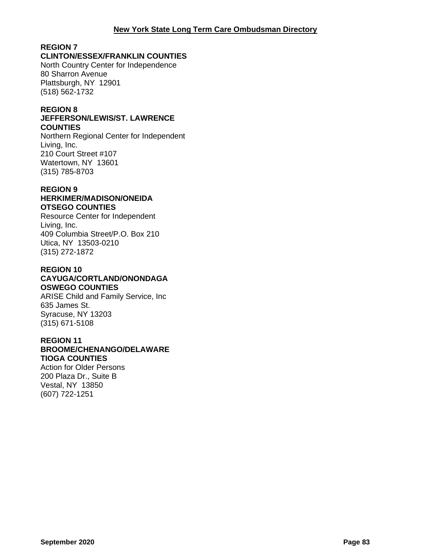## **REGION 7**

## **CLINTON/ESSEX/FRANKLIN COUNTIES**

North Country Center for Independence 80 Sharron Avenue Plattsburgh, NY 12901 (518) 562-1732

## **REGION 8**

#### **JEFFERSON/LEWIS/ST. LAWRENCE COUNTIES**

Northern Regional Center for Independent Living, Inc. 210 Court Street #107 Watertown, NY 13601 (315) 785-8703

#### **REGION 9 HERKIMER/MADISON/ONEIDA OTSEGO COUNTIES**

Resource Center for Independent Living, Inc. 409 Columbia Street/P.O. Box 210 Utica, NY 13503-0210 (315) 272-1872

## **REGION 10 CAYUGA/CORTLAND/ONONDAGA OSWEGO COUNTIES**

ARISE Child and Family Service, Inc 635 James St. Syracuse, NY 13203 (315) 671-5108

## **REGION 11**

#### **BROOME/CHENANGO/DELAWARE TIOGA COUNTIES**

Action for Older Persons 200 Plaza Dr., Suite B Vestal, NY 13850 (607) 722-1251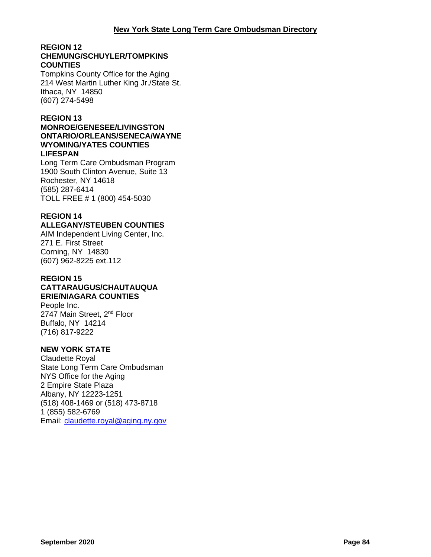#### **REGION 12 CHEMUNG/SCHUYLER/TOMPKINS COUNTIES**

Tompkins County Office for the Aging 214 West Martin Luther King Jr./State St. Ithaca, NY 14850 (607) 274-5498

## **REGION 13**

#### **MONROE/GENESEE/LIVINGSTON ONTARIO/ORLEANS/SENECA/WAYNE WYOMING/YATES COUNTIES LIFESPAN**

Long Term Care Ombudsman Program 1900 South Clinton Avenue, Suite 13 Rochester, NY 14618 (585) 287-6414 TOLL FREE # 1 (800) 454-5030

## **REGION 14**

## **ALLEGANY/STEUBEN COUNTIES**

AIM Independent Living Center, Inc. 271 E. First Street Corning, NY 14830 (607) 962-8225 ext.112

#### **REGION 15 CATTARAUGUS/CHAUTAUQUA ERIE/NIAGARA COUNTIES**

People Inc. 2747 Main Street, 2<sup>nd</sup> Floor Buffalo, NY 14214 (716) 817-9222

## **NEW YORK STATE**

Claudette Royal State Long Term Care Ombudsman NYS Office for the Aging 2 Empire State Plaza Albany, NY 12223-1251 (518) 408-1469 or (518) 473-8718 1 (855) 582-6769 Email: [claudette.royal@aging.ny.gov](mailto:claudette.royal@aging.ny.gov)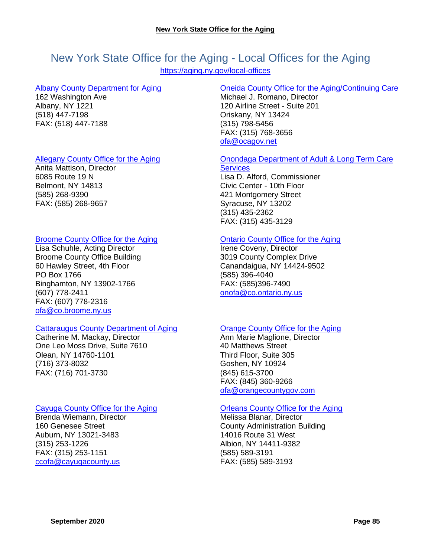# New York State Office for the Aging - Local Offices for the Aging

<https://aging.ny.gov/local-offices>

#### [Albany County Department for Aging](http://www.albanycounty.com/aging/)

162 Washington Ave Albany, NY 1221 (518) 447-7198 FAX: (518) 447-7188

## [Allegany County Office for the Aging](http://www.alleganyco.com/departments/office-for-the-aging/)

Anita Mattison, Director 6085 Route 19 N Belmont, NY 14813 (585) 268-9390 FAX: (585) 268-9657

## [Broome County Office for the Aging](http://www.gobroomecounty.com/senior/)

Lisa Schuhle, Acting Director Broome County Office Building 60 Hawley Street, 4th Floor PO Box 1766 Binghamton, NY 13902-1766 (607) 778-2411 FAX: (607) 778-2316 [ofa@co.broome.ny.us](mailto:ofa@co.broome.ny.us)

## [Cattaraugus County Department of Aging](https://www.cattco.org/aging)

Catherine M. Mackay, Director One Leo Moss Drive, Suite 7610 Olean, NY 14760-1101 (716) 373-8032 FAX: (716) 701-3730

## [Cayuga County Office for the Aging](https://www.cayugacounty.us/507/Office-for-the-Aging)

Brenda Wiemann, Director 160 Genesee Street Auburn, NY 13021-3483 (315) 253-1226 FAX: (315) 253-1151 [ccofa@cayugacounty.us](mailto:ccofa@cayugacounty.us)

## [Oneida County Office for the Aging/Continuing Care](http://ocgov.net/oneida/ofa)

Michael J. Romano, Director 120 Airline Street - Suite 201 Oriskany, NY 13424 (315) 798-5456 FAX: (315) 768-3656 [ofa@ocagov.net](mailto:ofa@ocagov.net)

## [Onondaga Department of Adult & Long Term Care](http://www.ongov.net/aging/)

**[Services](http://www.ongov.net/aging/)** Lisa D. Alford, Commissioner Civic Center - 10th Floor 421 Montgomery Street Syracuse, NY 13202 (315) 435-2362 FAX: (315) 435-3129

## [Ontario County Office for the Aging](http://www.co.ontario.ny.us/index.aspx?nid=100)

Irene Coveny, Director 3019 County Complex Drive Canandaigua, NY 14424-9502 (585) 396-4040 FAX: (585)396-7490 [onofa@co.ontario.ny.us](mailto:onofa@co.ontario.ny.us)

## [Orange County Office for the Aging](https://www.orangecountygov.com/151/Aging)

Ann Marie Maglione, Director 40 Matthews Street Third Floor, Suite 305 Goshen, NY 10924 (845) 615-3700 FAX: (845) 360-9266 [ofa@orangecountygov.com](mailto:ofa@orangecountygov.com)

## [Orleans County Office for the Aging](https://orleanscountyny.com/departments/office-for-the-aging/)

Melissa Blanar, Director County Administration Building 14016 Route 31 West Albion, NY 14411-9382 (585) 589-3191 FAX: (585) 589-3193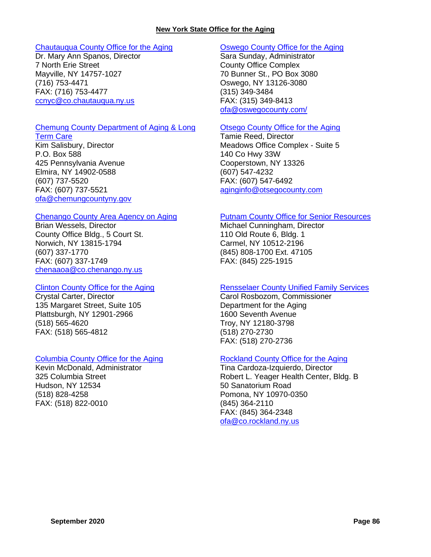#### **New York State Office for the Aging**

#### [Chautauqua County Office for the Aging](http://www.co.chautauqua.ny.us/321/Office-for-the-Aging)

Dr. Mary Ann Spanos, Director 7 North Erie Street Mayville, NY 14757-1027 (716) 753-4471 FAX: (716) 753-4477 [ccnyc@co.chautauqua.ny.us](mailto:ccnyc@co.chautauqua.ny.us)

#### [Chemung County Department of Aging & Long](https://www.chemungcountyny.gov/departments/a_-_f_departments/aging_and_long_term_care/index.php)

[Term Care](https://www.chemungcountyny.gov/departments/a_-_f_departments/aging_and_long_term_care/index.php) Kim Salisbury, Director P.O. Box 588 425 Pennsylvania Avenue Elmira, NY 14902-0588 (607) 737-5520 FAX: (607) 737-5521 [ofa@chemungcountyny.gov](mailto:ofa@chemungcountyny.gov)

#### [Chenango County Area Agency on Aging](http://www.co.chenango.ny.us/AAOA/)

Brian Wessels, Director County Office Bldg., 5 Court St. Norwich, NY 13815-1794 (607) 337-1770 FAX: (607) 337-1749 [chenaaoa@co.chenango.ny.us](mailto:chenaaoa@co.chenango.ny.us)

#### [Clinton County Office for the Aging](http://www.clintoncountygov.com/Departments/Aging/OFA-Home.html)

Crystal Carter, Director 135 Margaret Street, Suite 105 Plattsburgh, NY 12901-2966 (518) 565-4620 FAX: (518) 565-4812

## [Columbia County Office for the Aging](https://sites.google.com/a/columbiacountyny.com/columbia-county-office-for-the-aging/home)

Kevin McDonald, Administrator 325 Columbia Street Hudson, NY 12534 (518) 828-4258 FAX: (518) 822-0010

#### [Oswego County Office for the Aging](https://www.oswegocounty.com/departments/human_services/office_for_the_aging/index.php)

Sara Sunday, Administrator County Office Complex 70 Bunner St., PO Box 3080 Oswego, NY 13126-3080 (315) 349-3484 FAX: (315) 349-8413 [ofa@oswegocounty.com/](mailto:ofa@oswegocounty.com/)

#### [Otsego County Office for the Aging](https://www.otsegocounty.com/departments/office_for_the_aging/index.php)

Tamie Reed, Director Meadows Office Complex - Suite 5 140 Co Hwy 33W Cooperstown, NY 13326 (607) 547-4232 FAX: (607) 547-6492 [aginginfo@otsegocounty.com](mailto:aginginfo@otsegocounty.com)

#### [Putnam County Office for Senior Resources](http://www.putnamcountyny.com/osr/)

Michael Cunningham, Director 110 Old Route 6, Bldg. 1 Carmel, NY 10512-2196 (845) 808-1700 Ext. 47105 FAX: (845) 225-1915

## [Rensselaer County Unified Family Services](https://www.rensco.com/departments/department-of-aging/)

Carol Rosbozom, Commissioner Department for the Aging 1600 Seventh Avenue Troy, NY 12180-3798 (518) 270-2730 FAX: (518) 270-2736

## [Rockland County Office for the Aging](http://rocklandgov.com/departments/aging/)

Tina Cardoza-Izquierdo, Director Robert L. Yeager Health Center, Bldg. B 50 Sanatorium Road Pomona, NY 10970-0350 (845) 364-2110 FAX: (845) 364-2348 ofa@co.rockland.ny.us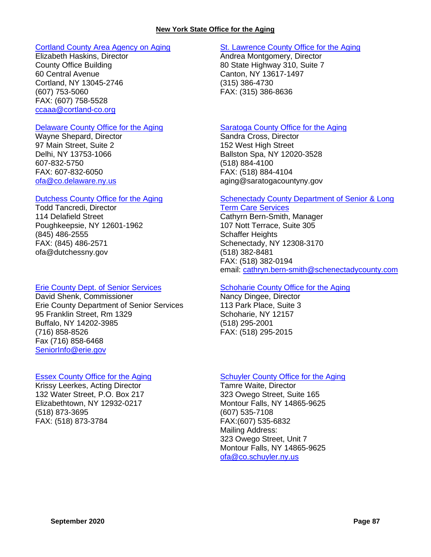#### [Cortland County Area Agency on Aging](http://www.cortland-co.org/434/Area-Agency-on-Aging)

Elizabeth Haskins, Director County Office Building 60 Central Avenue Cortland, NY 13045-2746 (607) 753-5060 FAX: (607) 758-5528 [ccaaa@cortland-co.org](mailto:ccaaa@cortland-co.org)

#### [Delaware County Office for the Aging](http://www.co.delaware.ny.us/departments/ofa/ofa.htm)

Wayne Shepard, Director 97 Main Street, Suite 2 Delhi, NY 13753-1066 607-832-5750 FAX: 607-832-6050 [ofa@co.delaware.ny.us](mailto:ofa@co.delaware.ny.us)

#### [Dutchess County Office for the Aging](http://www.co.dutchess.ny.us/Countygov/departments/aging/agindex.htm)

Todd Tancredi, Director 114 Delafield Street Poughkeepsie, NY 12601-1962 (845) 486-2555 FAX: (845) 486-2571 ofa@dutchessny.gov

#### [Erie County Dept. of Senior](http://www.erie.gov/depts/seniorservices/) Services

David Shenk, Commissioner Erie County Department of Senior Services 95 Franklin Street, Rm 1329 Buffalo, NY 14202-3985 (716) 858-8526 Fax (716) 858-6468 [SeniorInfo@erie.gov](mailto:SeniorInfo@erie.gov)

#### [Essex County Office for the Aging](https://www.co.essex.ny.us/wp/office-for-the-aging/)

Krissy Leerkes, Acting Director 132 Water Street, P.O. Box 217 Elizabethtown, NY 12932-0217 (518) 873-3695 FAX: (518) 873-3784

## [St. Lawrence County Office for the Aging](https://www.stlawco.org/Departments/OfficefortheAging)

Andrea Montgomery, Director 80 State Highway 310, Suite 7 Canton, NY 13617-1497 (315) 386-4730 FAX: (315) 386-8636

#### **[Saratoga County Office for the Aging](http://www.saratogacountyny.gov/?page_id=1168)**

Sandra Cross, Director 152 West High Street Ballston Spa, NY 12020-3528 (518) 884-4100 FAX: (518) 884-4104 aging@saratogacountyny.gov

#### [Schenectady County Department of Senior & Long](http://www.schenectadycounty.com/SLTC)

[Term Care Services](http://www.schenectadycounty.com/SLTC) Cathyrn Bern-Smith, Manager 107 Nott Terrace, Suite 305 Schaffer Heights Schenectady, NY 12308-3170 (518) 382-8481 FAX: (518) 382-0194 email: [cathryn.bern-smith@schenectadycounty.com](mailto:cathryn.bern-smith@schenectadycounty.com)

## [Schoharie County Office for the Aging](https://www4.schohariecounty-ny.gov/departments/ofa/)

Nancy Dingee, Director 113 Park Place, Suite 3 Schoharie, NY 12157 (518) 295-2001 FAX: (518) 295-2015

## [Schuyler County Office for the Aging](http://www.schuylercounty.us/index.aspx?NID=157)

Tamre Waite, Director 323 Owego Street, Suite 165 Montour Falls, NY 14865-9625 (607) 535-7108 FAX:(607) 535-6832 Mailing Address: 323 Owego Street, Unit 7 Montour Falls, NY 14865-9625 [ofa@co.schuyler.ny.us](mailto:ofa@co.schuyler.ny.us)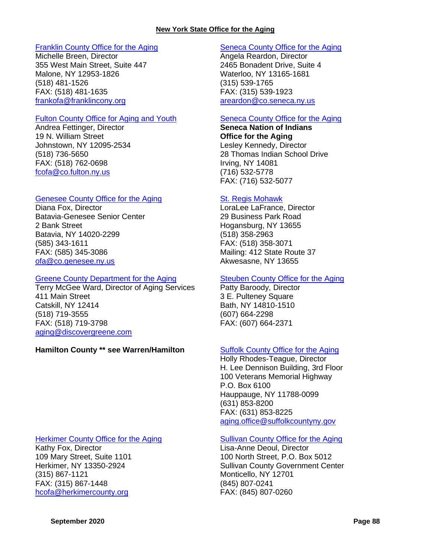#### [Franklin County Office for the Aging](http://franklincony.org/content/Departments/View/17)

Michelle Breen, Director 355 West Main Street, Suite 447 Malone, NY 12953-1826 (518) 481-1526 FAX: (518) 481-1635 [frankofa@franklincony.org](mailto:frankofa@franklincony.org)

#### [Fulton County Office for Aging and Youth](http://www.fcofa.org/)

Andrea Fettinger, Director 19 N. William Street Johnstown, NY 12095-2534 (518) 736-5650 FAX: (518) 762-0698 [fcofa@co.fulton.ny.us](mailto:fcofa@co.fulton.ny.us)

## [Genesee County Office for the Aging](http://www.co.genesee.ny.us/departments/office_for_the_aging/index.html)

Diana Fox, Director Batavia-Genesee Senior Center 2 Bank Street Batavia, NY 14020-2299 (585) 343-1611 FAX: (585) 345-3086 [ofa@co.genesee.ny.us](mailto:ofa@co.genesee.ny.us)

#### [Greene County Department for the Aging](http://greenegovernment.com/departments/human-services/)

Terry McGee Ward, Director of Aging Services 411 Main Street Catskill, NY 12414 (518) 719-3555 FAX: (518) 719-3798 [aging@discovergreene.com](mailto:aging@discovergreene.com)

## **Hamilton County \*\* see Warren/Hamilton [Suffolk County Office for the Aging](https://www.suffolkcountyny.gov/aging/)**

## [Herkimer County Office for the Aging](http://herkimercounty.org/content/Departments/View/3)

Kathy Fox, Director 109 Mary Street, Suite 1101 Herkimer, NY 13350-2924 (315) 867-1121 FAX: (315) 867-1448 [hcofa@herkimercounty.org](mailto:hcofa@herkimercounty.org)

## [Seneca County Office for the Aging](https://www.co.seneca.ny.us/gov/community/office-aging/)

Angela Reardon, Director 2465 Bonadent Drive, Suite 4 Waterloo, NY 13165-1681 (315) 539-1765 FAX: (315) 539-1923 [areardon@co.seneca.ny.us](mailto:areardon@co.seneca.ny.us)

## [Seneca County Office for the Aging](https://sni.org/departments/area-office-for-the-aging/)

**Seneca Nation of Indians Office for the Aging** Lesley Kennedy, Director 28 Thomas Indian School Drive Irving, NY 14081 (716) 532-5778 FAX: (716) 532-5077

#### [St. Regis Mohawk](http://www.srmt-nsn.gov/divisions/office_for_the_aging)

LoraLee LaFrance, Director 29 Business Park Road Hogansburg, NY 13655 (518) 358-2963 FAX: (518) 358-3071 Mailing: 412 State Route 37 Akwesasne, NY 13655

## [Steuben County Office for the Aging](http://www.steubencony.org/Pages.asp?PGID=31)

Patty Baroody, Director 3 E. Pulteney Square Bath, NY 14810-1510 (607) 664-2298 FAX: (607) 664-2371

Holly Rhodes-Teague, Director H. Lee Dennison Building, 3rd Floor 100 Veterans Memorial Highway P.O. Box 6100 Hauppauge, NY 11788-0099 (631) 853-8200 FAX: (631) 853-8225 [aging.office@suffolkcountyny.gov](mailto:aging.office@suffolkcountyny.gov)

## [Sullivan County Office for the Aging](https://sullivanny.us/Departments/Aging)

Lisa-Anne Deoul, Director 100 North Street, P.O. Box 5012 Sullivan County Government Center Monticello, NY 12701 (845) 807-0241 FAX: (845) 807-0260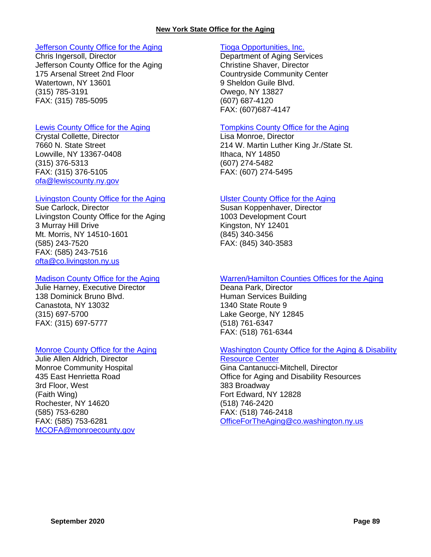#### **New York State Office for the Aging**

#### [Jefferson County Office for the Aging](https://co.jefferson.ny.us/departments/OfficefortheAging)

Chris Ingersoll, Director Jefferson County Office for the Aging 175 Arsenal Street 2nd Floor Watertown, NY 13601 (315) 785-3191 FAX: (315) 785-5095

#### [Lewis County Office for the Aging](https://www.lewiscounty.org/office-for-the-aging)

Crystal Collette, Director 7660 N. State Street Lowville, NY 13367-0408 (315) 376-5313 FAX: (315) 376-5105 [ofa@lewiscounty.ny.gov](mailto:ofa@lewiscounty.ny.gov)

#### [Livingston County Office for the Aging](http://www.co.livingston.state.ny.us/ofa.htm)

Sue Carlock, Director Livingston County Office for the Aging 3 Murray Hill Drive Mt. Morris, NY 14510-1601 (585) 243-7520 FAX: (585) 243-7516 [ofta@co.livingston.ny.us](mailto:ofta@co.livingston.ny.us)

#### [Madison County Office for](http://www.ofamadco.org/) the Aging

Julie Harney, Executive Director 138 Dominick Bruno Blvd. Canastota, NY 13032 (315) 697-5700 FAX: (315) 697-5777

## [Monroe County Office for the Aging](http://www.monroecounty.gov/aging-index.php)

Julie Allen Aldrich, Director Monroe Community Hospital 435 East Henrietta Road 3rd Floor, West (Faith Wing) Rochester, NY 14620 (585) 753-6280 FAX: (585) 753-6281 [MCOFA@monroecounty.gov](mailto:MCOFA@monroecounty.gov)

## [Tioga Opportunities, Inc.](https://aging.ny.gov/location/tioga-opportunities-inc)

Department of Aging Services Christine Shaver, Director Countryside Community Center 9 Sheldon Guile Blvd. Owego, NY 13827 (607) 687-4120 FAX: (607)687-4147

## [Tompkins County Office for the Aging](https://www2.tompkinscountyny.gov/cofa)

Lisa Monroe, Director 214 W. Martin Luther King Jr./State St. Ithaca, NY 14850 (607) 274-5482 FAX: (607) 274-5495

#### [Ulster County Office for the Aging](http://www.co.ulster.ny.us/aging/)

Susan Koppenhaver, Director 1003 Development Court Kingston, NY 12401 (845) 340-3456 FAX: (845) 340-3583

## [Warren/Hamilton Counties Offices for the Aging](http://www.warrencountyny.gov/ofa/)

Deana Park, Director Human Services Building 1340 State Route 9 Lake George, NY 12845 (518) 761-6347 FAX: (518) 761-6344

## [Washington County Office for the Aging & Disability](http://www.co.washington.ny.us/Departments/Ofa/ofa1.htm)

[Resource Center](http://www.co.washington.ny.us/Departments/Ofa/ofa1.htm) Gina Cantanucci-Mitchell, Director Office for Aging and Disability Resources 383 Broadway Fort Edward, NY 12828 (518) 746-2420 FAX: (518) 746-2418 [OfficeForTheAging@co.washington.ny.us](mailto:OfficeForTheAging@co.washington.ny.us)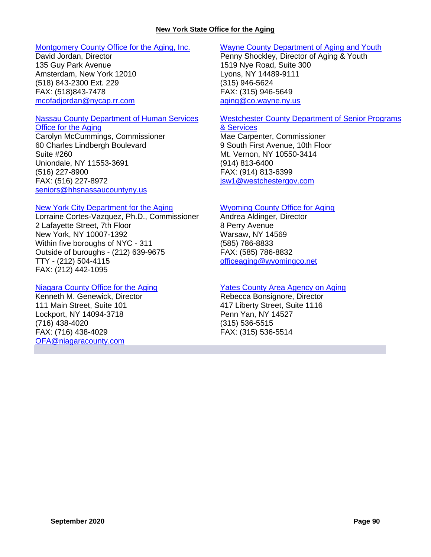#### [Montgomery County Office for the Aging, Inc.](http://officeforaging.com/)

David Jordan, Director 135 Guy Park Avenue Amsterdam, New York 12010 (518) 843-2300 Ext. 229 FAX: (518)843-7478 [mcofadjordan@nycap.rr.com](mailto:mcofadjordan@nycap.rr.com)

## Nassau [County Department of Human Services](http://www.nassaucountyny.gov/agencies/Seniors/index.html)

[Office for the Aging](http://www.nassaucountyny.gov/agencies/Seniors/index.html) Carolyn McCummings, Commissioner 60 Charles Lindbergh Boulevard Suite #260 Uniondale, NY 11553-3691 (516) 227-8900 FAX: (516) 227-8972 [seniors@hhsnassaucountyny.us](mailto:seniors@hhsnassaucountyny.us) 

#### [New York City Department for the Aging](https://www1.nyc.gov/site/dfta/index.page)

Lorraine Cortes-Vazquez, Ph.D., Commissioner 2 Lafayette Street, 7th Floor New York, NY 10007-1392 Within five boroughs of NYC - 311 Outside of buroughs - (212) 639-9675 TTY - (212) 504-4115 FAX: (212) 442-1095

## [Niagara County Office for the Aging](http://www.niagaracounty.com/aging/)

Kenneth M. Genewick, Director 111 Main Street, Suite 101 Lockport, NY 14094-3718 (716) 438-4020 FAX: (716) 438-4029 [OFA@niagaracounty.com](mailto:OFA@niagaracounty.com)

## [Wayne County Department of Aging and Youth](https://web.co.wayne.ny.us/index.php/ageyouth/aging-programs-and-services/)

Penny Shockley, Director of Aging & Youth 1519 Nye Road, Suite 300 Lyons, NY 14489-9111 (315) 946-5624 FAX: (315) 946-5649 [aging@co.wayne.ny.us](mailto:aging@co.wayne.ny.us)

## [Westchester County Department of Senior Programs](http://seniorcitizens.westchestergov.com/)

[& Services](http://seniorcitizens.westchestergov.com/) Mae Carpenter, Commissioner

9 South First Avenue, 10th Floor Mt. Vernon, NY 10550-3414 (914) 813-6400 FAX: (914) 813-6399 [jsw1@westchestergov.com](mailto:jsw1@westchestergov.com)

## [Wyoming County Office for Aging](https://www.wyomingco.net/328/Office-for-the-Aging)

Andrea Aldinger, Director 8 Perry Avenue Warsaw, NY 14569 (585) 786-8833 FAX: (585) 786-8832 [officeaging@wyomingco.net](mailto:officeaging@wyomingco.net)

## [Yates County Area Agency on Aging](http://www.proactioninc.org/seniors/)

Rebecca Bonsignore, Director 417 Liberty Street, Suite 1116 Penn Yan, NY 14527 (315) 536-5515 FAX: (315) 536-5514